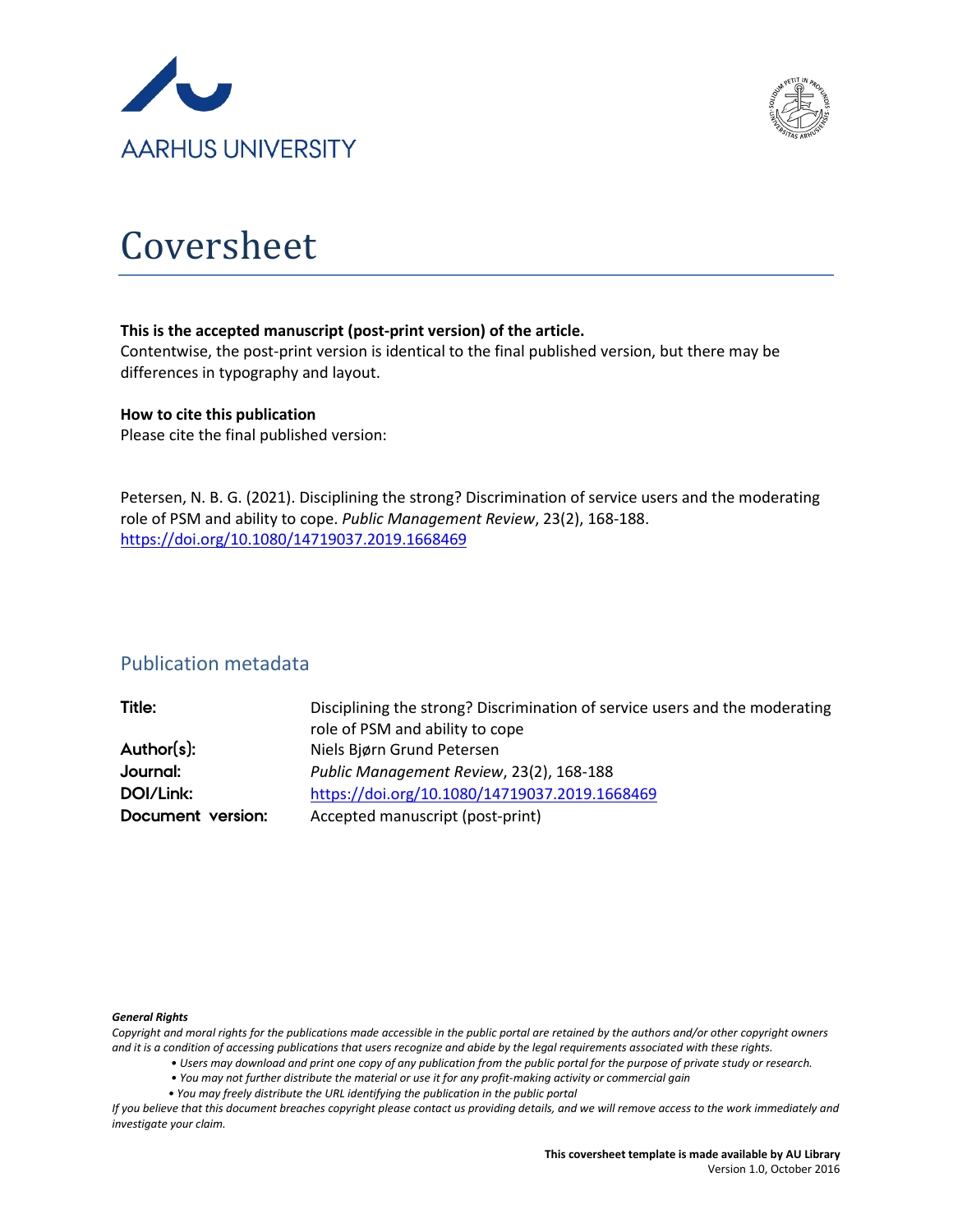



# Coversheet

#### **This is the accepted manuscript (post-print version) of the article.**

Contentwise, the post-print version is identical to the final published version, but there may be differences in typography and layout.

#### **How to cite this publication**

Please cite the final published version:

Petersen, N. B. G. (2021). Disciplining the strong? Discrimination of service users and the moderating role of PSM and ability to cope. *Public Management Review*, 23(2), 168-188. <https://doi.org/10.1080/14719037.2019.1668469>

### Publication metadata

| Title:            | Disciplining the strong? Discrimination of service users and the moderating |
|-------------------|-----------------------------------------------------------------------------|
|                   | role of PSM and ability to cope                                             |
| Author(s):        | Niels Bjørn Grund Petersen                                                  |
| Journal:          | Public Management Review, 23(2), 168-188                                    |
| DOI/Link:         | https://doi.org/10.1080/14719037.2019.1668469                               |
| Document version: | Accepted manuscript (post-print)                                            |
|                   |                                                                             |

#### *General Rights*

*Copyright and moral rights for the publications made accessible in the public portal are retained by the authors and/or other copyright owners and it is a condition of accessing publications that users recognize and abide by the legal requirements associated with these rights.*

- *Users may download and print one copy of any publication from the public portal for the purpose of private study or research.*
- *You may not further distribute the material or use it for any profit-making activity or commercial gain*
- *You may freely distribute the URL identifying the publication in the public portal*

*If you believe that this document breaches copyright please contact us providing details, and we will remove access to the work immediately and investigate your claim.*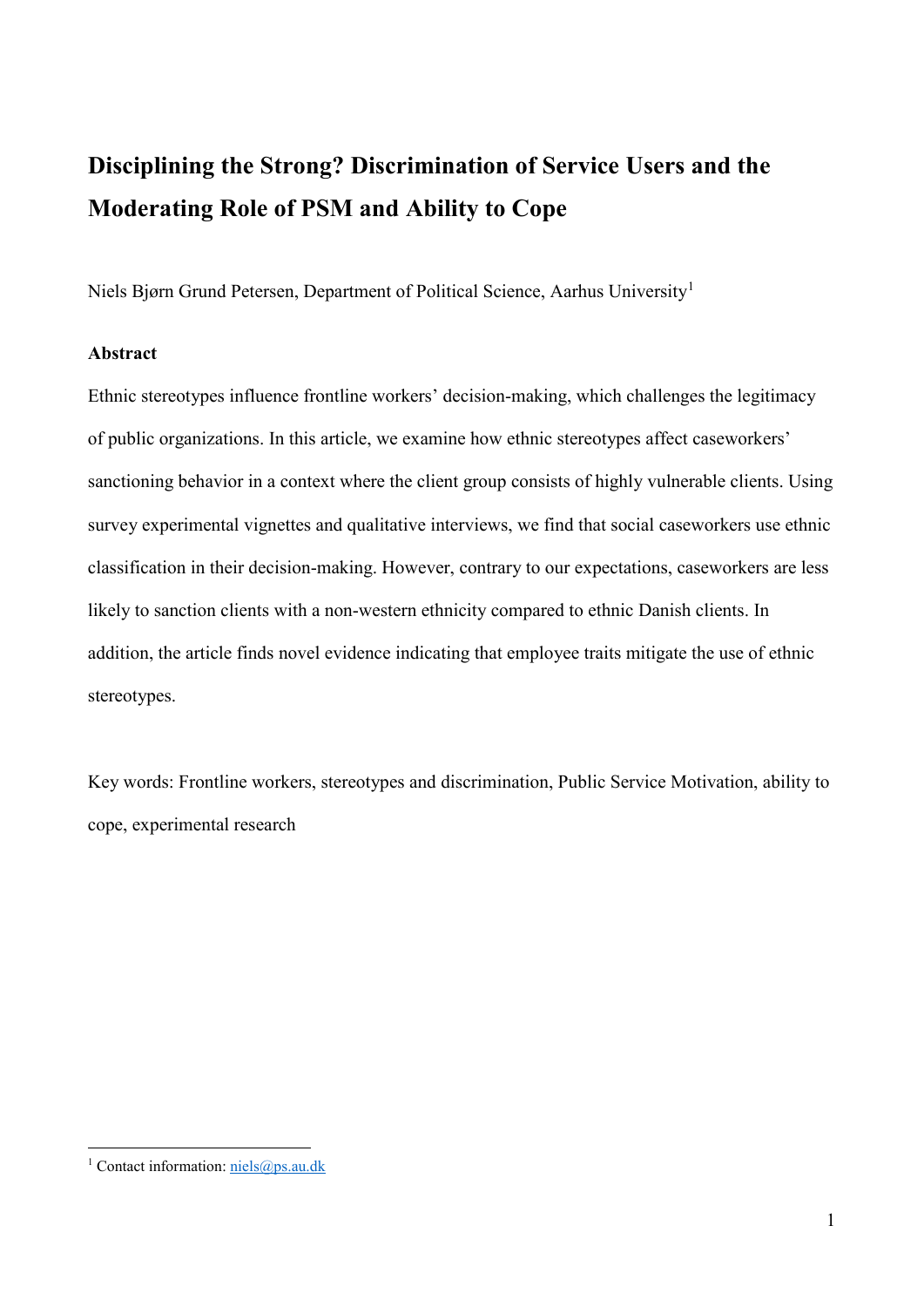## **Disciplining the Strong? Discrimination of Service Users and the Moderating Role of PSM and Ability to Cope**

Niels Bjørn Grund Petersen, Department of Political Science, Aarhus University[1](#page-1-0)

#### **Abstract**

Ethnic stereotypes influence frontline workers' decision-making, which challenges the legitimacy of public organizations. In this article, we examine how ethnic stereotypes affect caseworkers' sanctioning behavior in a context where the client group consists of highly vulnerable clients. Using survey experimental vignettes and qualitative interviews, we find that social caseworkers use ethnic classification in their decision-making. However, contrary to our expectations, caseworkers are less likely to sanction clients with a non-western ethnicity compared to ethnic Danish clients. In addition, the article finds novel evidence indicating that employee traits mitigate the use of ethnic stereotypes.

Key words: Frontline workers, stereotypes and discrimination, Public Service Motivation, ability to cope, experimental research

<span id="page-1-0"></span><sup>&</sup>lt;sup>1</sup> Contact information:  $n$ iels@ps.au.dk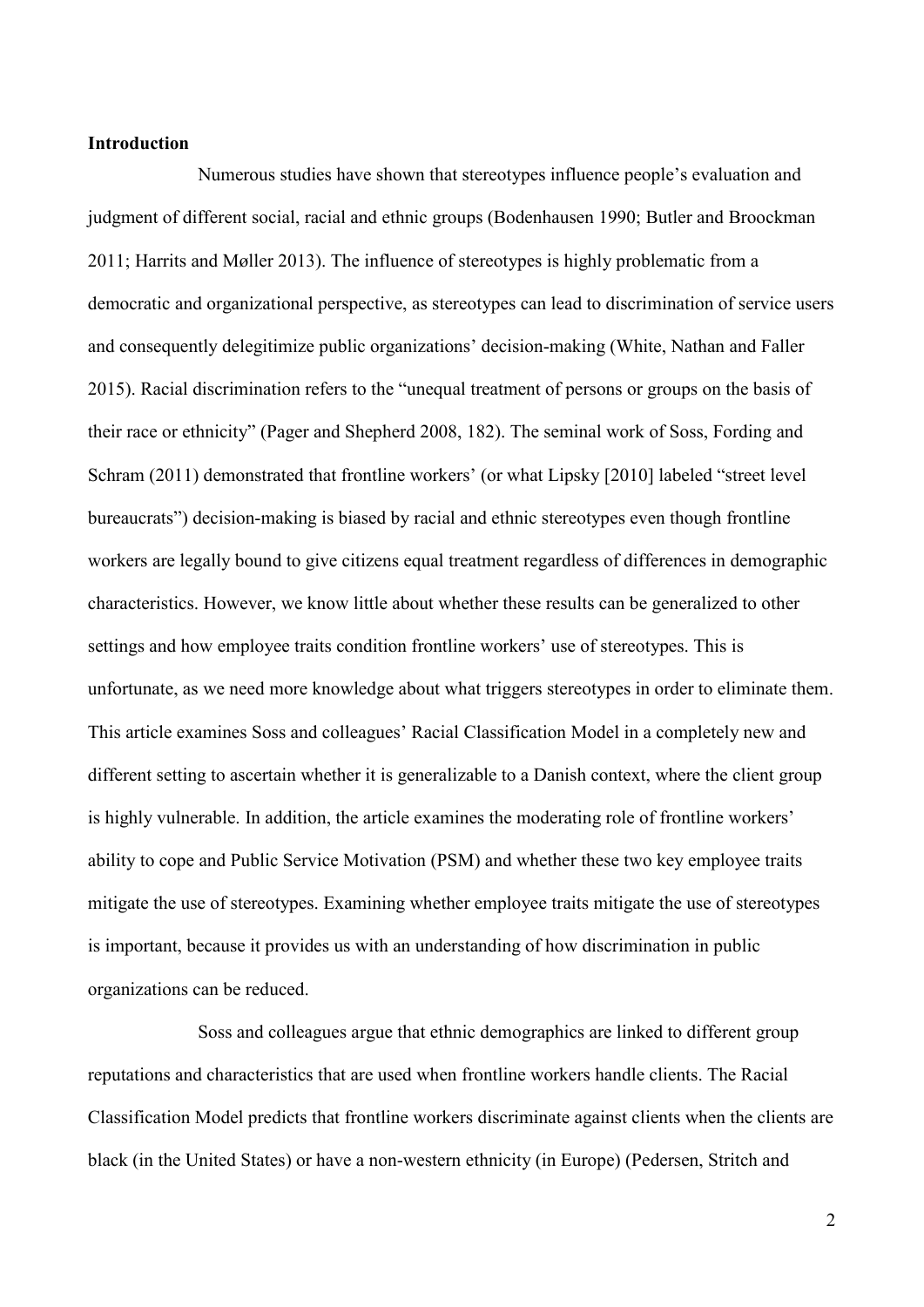#### **Introduction**

Numerous studies have shown that stereotypes influence people's evaluation and judgment of different social, racial and ethnic groups (Bodenhausen 1990; Butler and Broockman 2011; Harrits and Møller 2013). The influence of stereotypes is highly problematic from a democratic and organizational perspective, as stereotypes can lead to discrimination of service users and consequently delegitimize public organizations' decision-making (White, Nathan and Faller 2015). Racial discrimination refers to the "unequal treatment of persons or groups on the basis of their race or ethnicity" (Pager and Shepherd 2008, 182). The seminal work of Soss, Fording and Schram (2011) demonstrated that frontline workers' (or what Lipsky [2010] labeled "street level bureaucrats") decision-making is biased by racial and ethnic stereotypes even though frontline workers are legally bound to give citizens equal treatment regardless of differences in demographic characteristics. However, we know little about whether these results can be generalized to other settings and how employee traits condition frontline workers' use of stereotypes. This is unfortunate, as we need more knowledge about what triggers stereotypes in order to eliminate them. This article examines Soss and colleagues' Racial Classification Model in a completely new and different setting to ascertain whether it is generalizable to a Danish context, where the client group is highly vulnerable. In addition, the article examines the moderating role of frontline workers' ability to cope and Public Service Motivation (PSM) and whether these two key employee traits mitigate the use of stereotypes. Examining whether employee traits mitigate the use of stereotypes is important, because it provides us with an understanding of how discrimination in public organizations can be reduced.

Soss and colleagues argue that ethnic demographics are linked to different group reputations and characteristics that are used when frontline workers handle clients. The Racial Classification Model predicts that frontline workers discriminate against clients when the clients are black (in the United States) or have a non-western ethnicity (in Europe) (Pedersen, Stritch and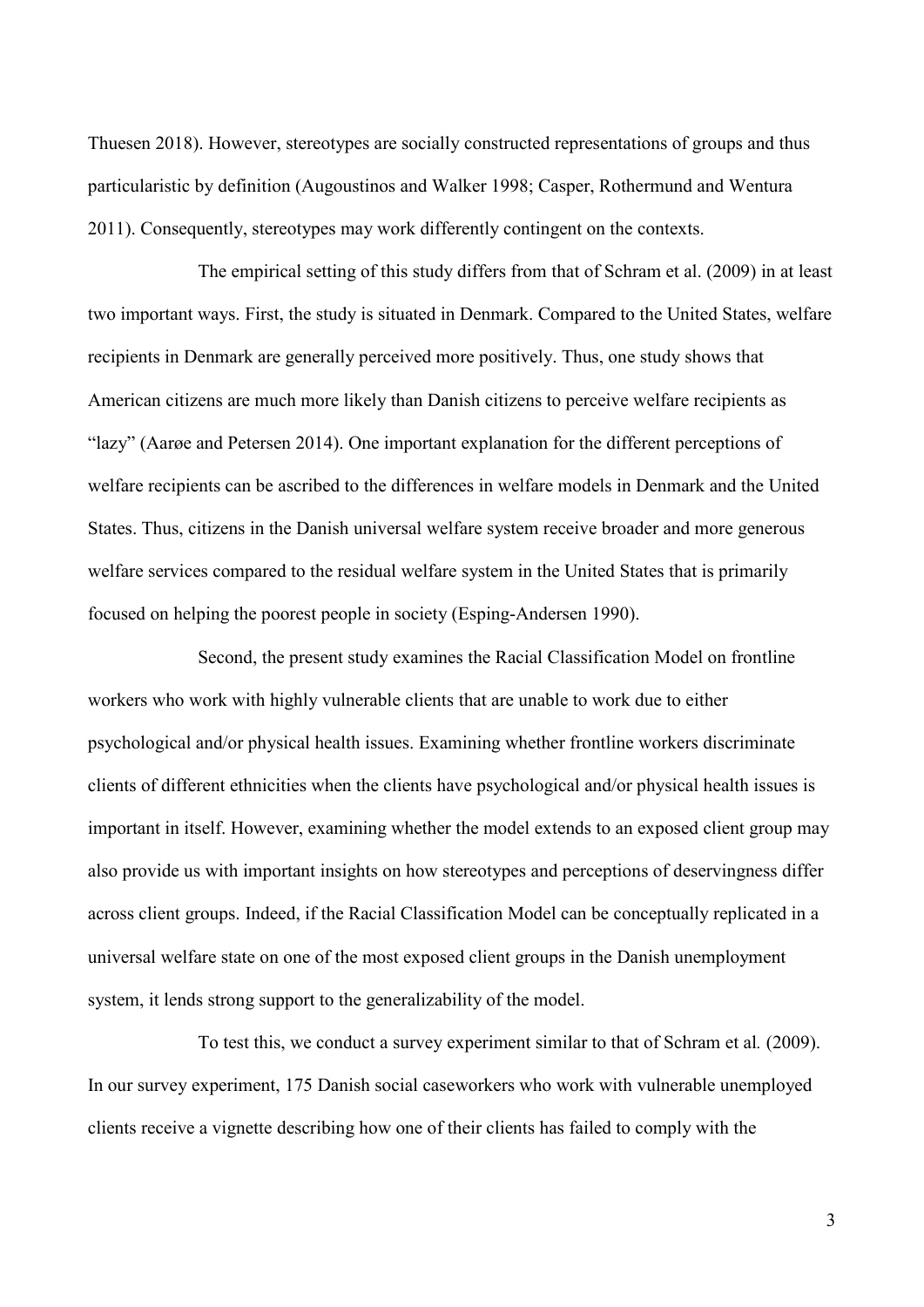Thuesen 2018). However, stereotypes are socially constructed representations of groups and thus particularistic by definition (Augoustinos and Walker 1998; Casper, Rothermund and Wentura 2011). Consequently, stereotypes may work differently contingent on the contexts.

The empirical setting of this study differs from that of Schram et al. (2009) in at least two important ways. First, the study is situated in Denmark. Compared to the United States, welfare recipients in Denmark are generally perceived more positively. Thus, one study shows that American citizens are much more likely than Danish citizens to perceive welfare recipients as "lazy" (Aarøe and Petersen 2014). One important explanation for the different perceptions of welfare recipients can be ascribed to the differences in welfare models in Denmark and the United States. Thus, citizens in the Danish universal welfare system receive broader and more generous welfare services compared to the residual welfare system in the United States that is primarily focused on helping the poorest people in society (Esping-Andersen 1990).

Second, the present study examines the Racial Classification Model on frontline workers who work with highly vulnerable clients that are unable to work due to either psychological and/or physical health issues. Examining whether frontline workers discriminate clients of different ethnicities when the clients have psychological and/or physical health issues is important in itself. However, examining whether the model extends to an exposed client group may also provide us with important insights on how stereotypes and perceptions of deservingness differ across client groups. Indeed, if the Racial Classification Model can be conceptually replicated in a universal welfare state on one of the most exposed client groups in the Danish unemployment system, it lends strong support to the generalizability of the model.

To test this, we conduct a survey experiment similar to that of Schram et al*.* (2009). In our survey experiment, 175 Danish social caseworkers who work with vulnerable unemployed clients receive a vignette describing how one of their clients has failed to comply with the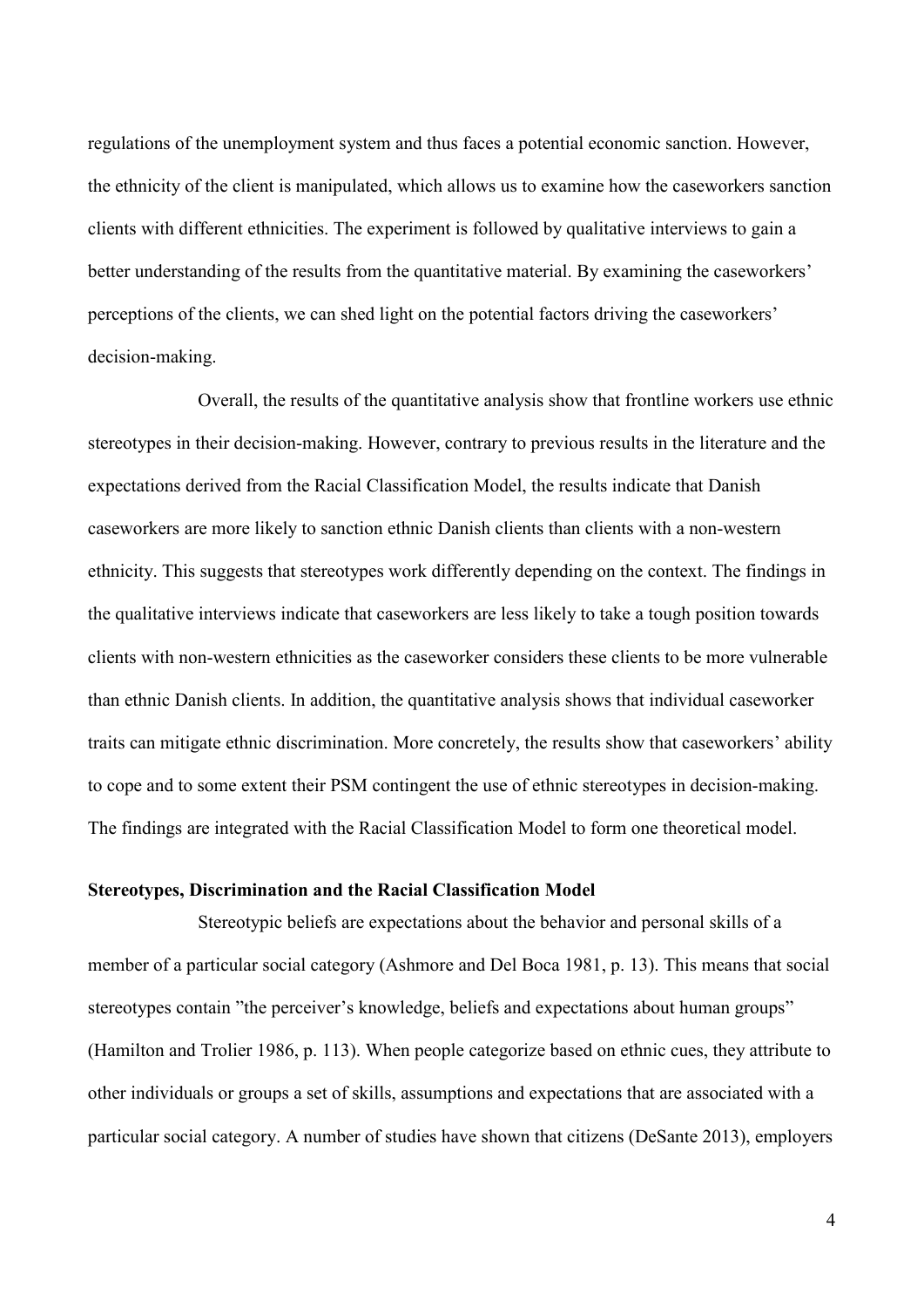regulations of the unemployment system and thus faces a potential economic sanction. However, the ethnicity of the client is manipulated, which allows us to examine how the caseworkers sanction clients with different ethnicities. The experiment is followed by qualitative interviews to gain a better understanding of the results from the quantitative material. By examining the caseworkers' perceptions of the clients, we can shed light on the potential factors driving the caseworkers' decision-making.

Overall, the results of the quantitative analysis show that frontline workers use ethnic stereotypes in their decision-making. However, contrary to previous results in the literature and the expectations derived from the Racial Classification Model, the results indicate that Danish caseworkers are more likely to sanction ethnic Danish clients than clients with a non-western ethnicity. This suggests that stereotypes work differently depending on the context. The findings in the qualitative interviews indicate that caseworkers are less likely to take a tough position towards clients with non-western ethnicities as the caseworker considers these clients to be more vulnerable than ethnic Danish clients. In addition, the quantitative analysis shows that individual caseworker traits can mitigate ethnic discrimination. More concretely, the results show that caseworkers' ability to cope and to some extent their PSM contingent the use of ethnic stereotypes in decision-making. The findings are integrated with the Racial Classification Model to form one theoretical model.

#### **Stereotypes, Discrimination and the Racial Classification Model**

Stereotypic beliefs are expectations about the behavior and personal skills of a member of a particular social category (Ashmore and Del Boca 1981, p. 13). This means that social stereotypes contain "the perceiver's knowledge, beliefs and expectations about human groups" (Hamilton and Trolier 1986, p. 113). When people categorize based on ethnic cues, they attribute to other individuals or groups a set of skills, assumptions and expectations that are associated with a particular social category. A number of studies have shown that citizens (DeSante 2013), employers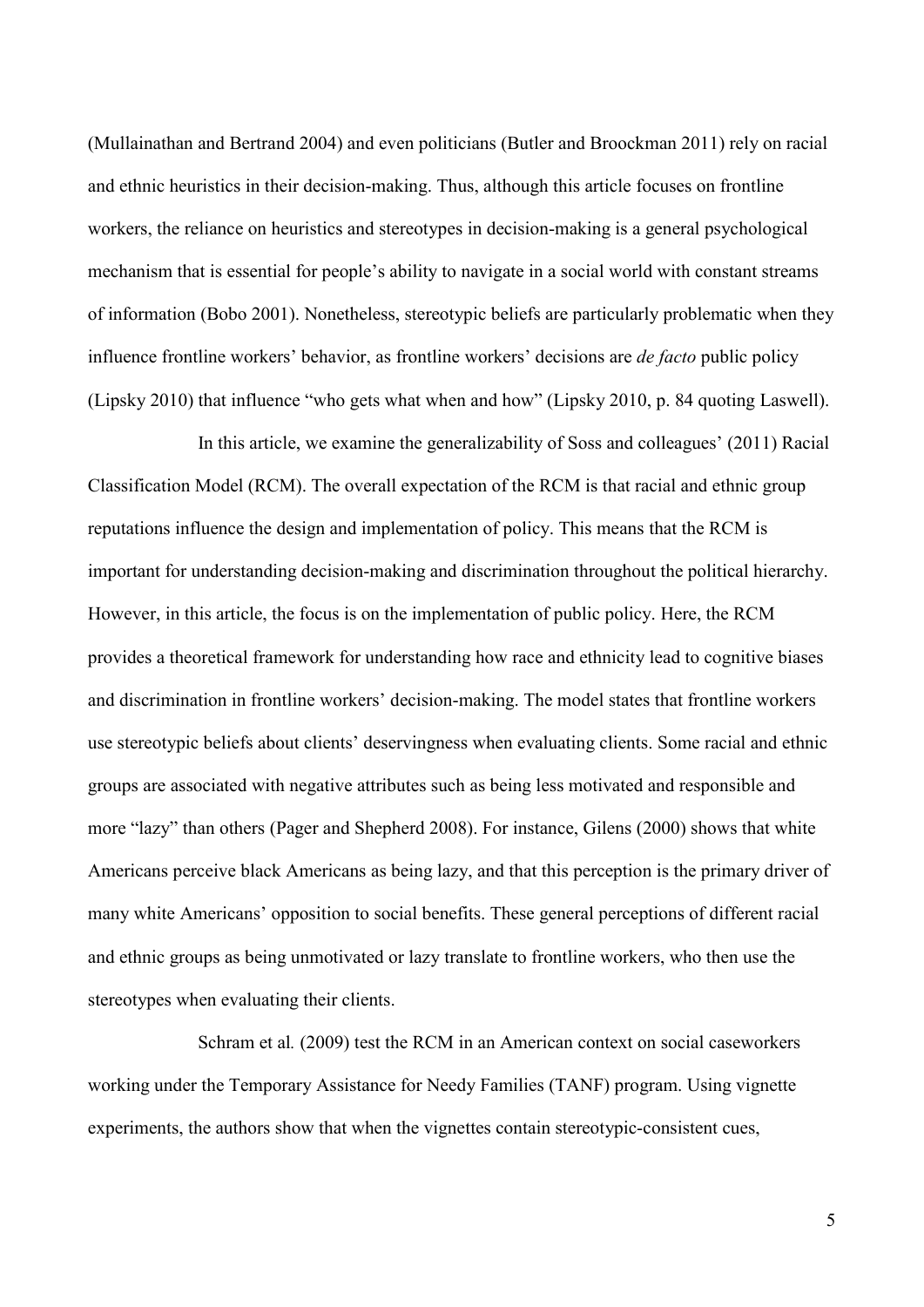(Mullainathan and Bertrand 2004) and even politicians (Butler and Broockman 2011) rely on racial and ethnic heuristics in their decision-making. Thus, although this article focuses on frontline workers, the reliance on heuristics and stereotypes in decision-making is a general psychological mechanism that is essential for people's ability to navigate in a social world with constant streams of information (Bobo 2001). Nonetheless, stereotypic beliefs are particularly problematic when they influence frontline workers' behavior, as frontline workers' decisions are *de facto* public policy (Lipsky 2010) that influence "who gets what when and how" (Lipsky 2010, p. 84 quoting Laswell).

In this article, we examine the generalizability of Soss and colleagues' (2011) Racial Classification Model (RCM). The overall expectation of the RCM is that racial and ethnic group reputations influence the design and implementation of policy. This means that the RCM is important for understanding decision-making and discrimination throughout the political hierarchy. However, in this article, the focus is on the implementation of public policy. Here, the RCM provides a theoretical framework for understanding how race and ethnicity lead to cognitive biases and discrimination in frontline workers' decision-making. The model states that frontline workers use stereotypic beliefs about clients' deservingness when evaluating clients. Some racial and ethnic groups are associated with negative attributes such as being less motivated and responsible and more "lazy" than others (Pager and Shepherd 2008). For instance, Gilens (2000) shows that white Americans perceive black Americans as being lazy, and that this perception is the primary driver of many white Americans' opposition to social benefits. These general perceptions of different racial and ethnic groups as being unmotivated or lazy translate to frontline workers, who then use the stereotypes when evaluating their clients.

Schram et al*.* (2009) test the RCM in an American context on social caseworkers working under the Temporary Assistance for Needy Families (TANF) program. Using vignette experiments, the authors show that when the vignettes contain stereotypic-consistent cues,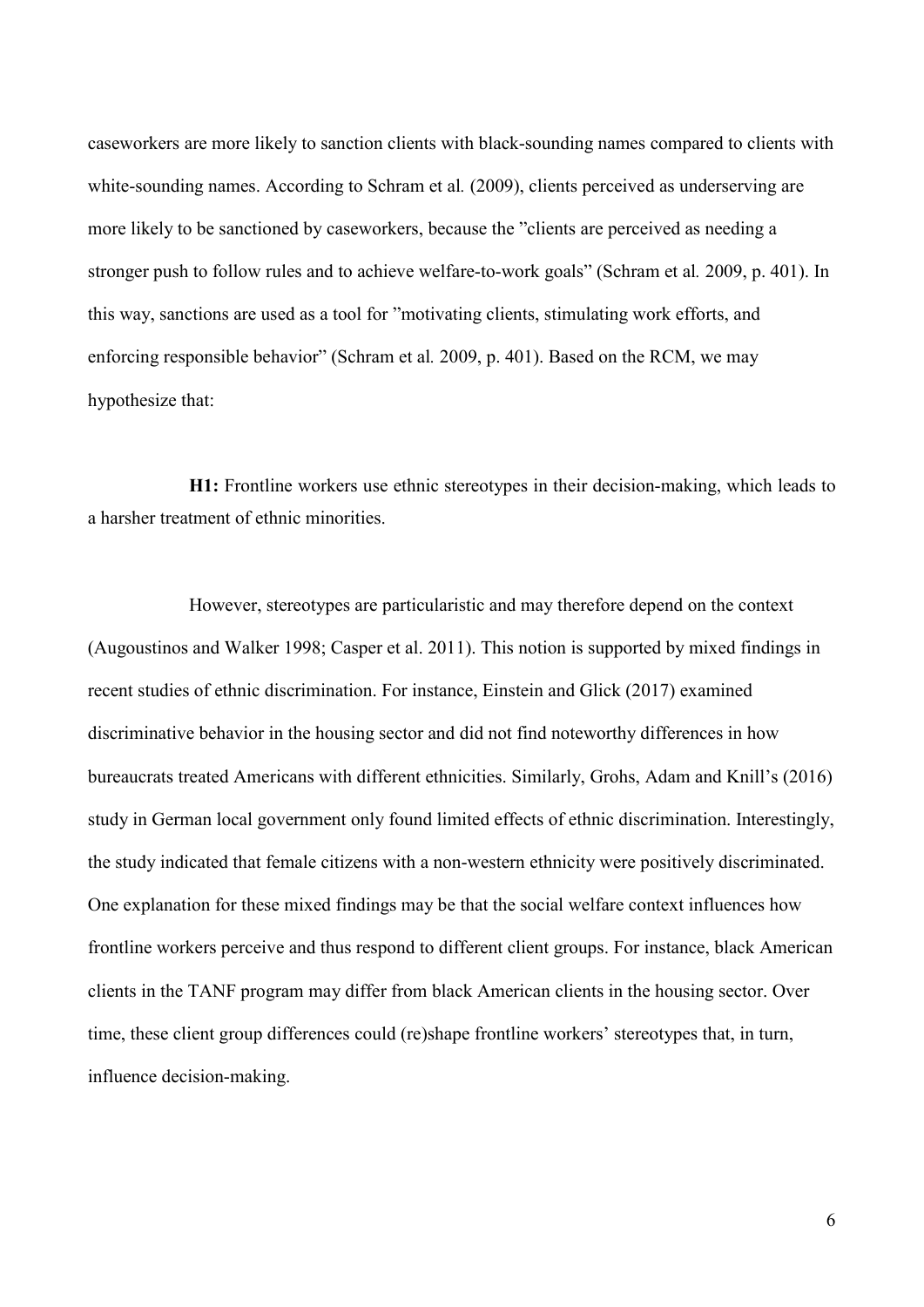caseworkers are more likely to sanction clients with black-sounding names compared to clients with white-sounding names. According to Schram et al*.* (2009), clients perceived as underserving are more likely to be sanctioned by caseworkers, because the "clients are perceived as needing a stronger push to follow rules and to achieve welfare-to-work goals" (Schram et al*.* 2009, p. 401). In this way, sanctions are used as a tool for "motivating clients, stimulating work efforts, and enforcing responsible behavior" (Schram et al*.* 2009, p. 401). Based on the RCM, we may hypothesize that:

**H1:** Frontline workers use ethnic stereotypes in their decision-making, which leads to a harsher treatment of ethnic minorities.

However, stereotypes are particularistic and may therefore depend on the context (Augoustinos and Walker 1998; Casper et al. 2011). This notion is supported by mixed findings in recent studies of ethnic discrimination. For instance, Einstein and Glick (2017) examined discriminative behavior in the housing sector and did not find noteworthy differences in how bureaucrats treated Americans with different ethnicities. Similarly, Grohs, Adam and Knill's (2016) study in German local government only found limited effects of ethnic discrimination. Interestingly, the study indicated that female citizens with a non-western ethnicity were positively discriminated. One explanation for these mixed findings may be that the social welfare context influences how frontline workers perceive and thus respond to different client groups. For instance, black American clients in the TANF program may differ from black American clients in the housing sector. Over time, these client group differences could (re)shape frontline workers' stereotypes that, in turn, influence decision-making.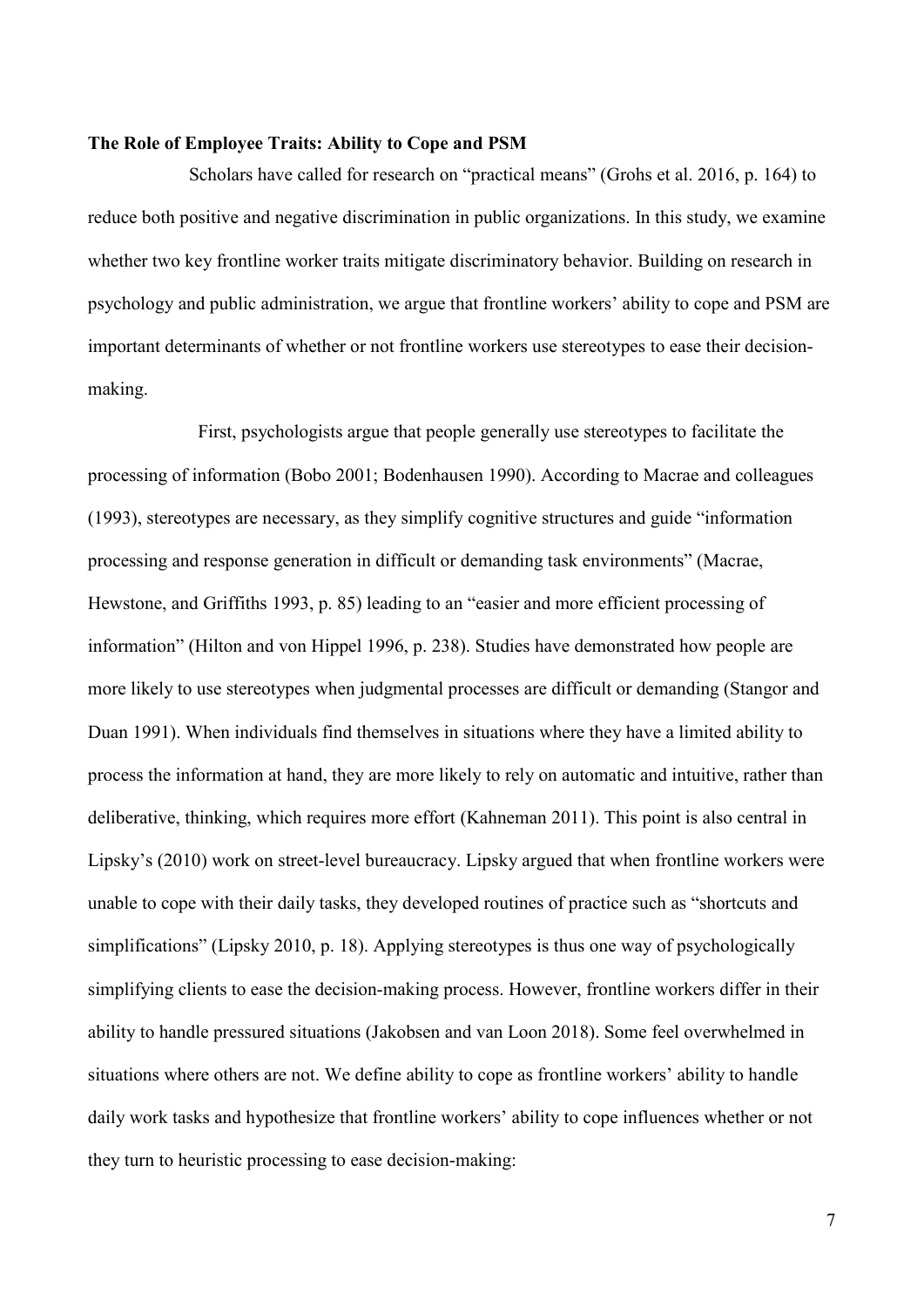#### **The Role of Employee Traits: Ability to Cope and PSM**

Scholars have called for research on "practical means" (Grohs et al. 2016, p. 164) to reduce both positive and negative discrimination in public organizations. In this study, we examine whether two key frontline worker traits mitigate discriminatory behavior. Building on research in psychology and public administration, we argue that frontline workers' ability to cope and PSM are important determinants of whether or not frontline workers use stereotypes to ease their decisionmaking.

First, psychologists argue that people generally use stereotypes to facilitate the processing of information (Bobo 2001; Bodenhausen 1990). According to Macrae and colleagues (1993), stereotypes are necessary, as they simplify cognitive structures and guide "information processing and response generation in difficult or demanding task environments" (Macrae, Hewstone, and Griffiths 1993, p. 85) leading to an "easier and more efficient processing of information" (Hilton and von Hippel 1996, p. 238). Studies have demonstrated how people are more likely to use stereotypes when judgmental processes are difficult or demanding (Stangor and Duan 1991). When individuals find themselves in situations where they have a limited ability to process the information at hand, they are more likely to rely on automatic and intuitive, rather than deliberative, thinking, which requires more effort (Kahneman 2011). This point is also central in Lipsky's (2010) work on street-level bureaucracy. Lipsky argued that when frontline workers were unable to cope with their daily tasks, they developed routines of practice such as "shortcuts and simplifications" (Lipsky 2010, p. 18). Applying stereotypes is thus one way of psychologically simplifying clients to ease the decision-making process. However, frontline workers differ in their ability to handle pressured situations (Jakobsen and van Loon 2018). Some feel overwhelmed in situations where others are not. We define ability to cope as frontline workers' ability to handle daily work tasks and hypothesize that frontline workers' ability to cope influences whether or not they turn to heuristic processing to ease decision-making: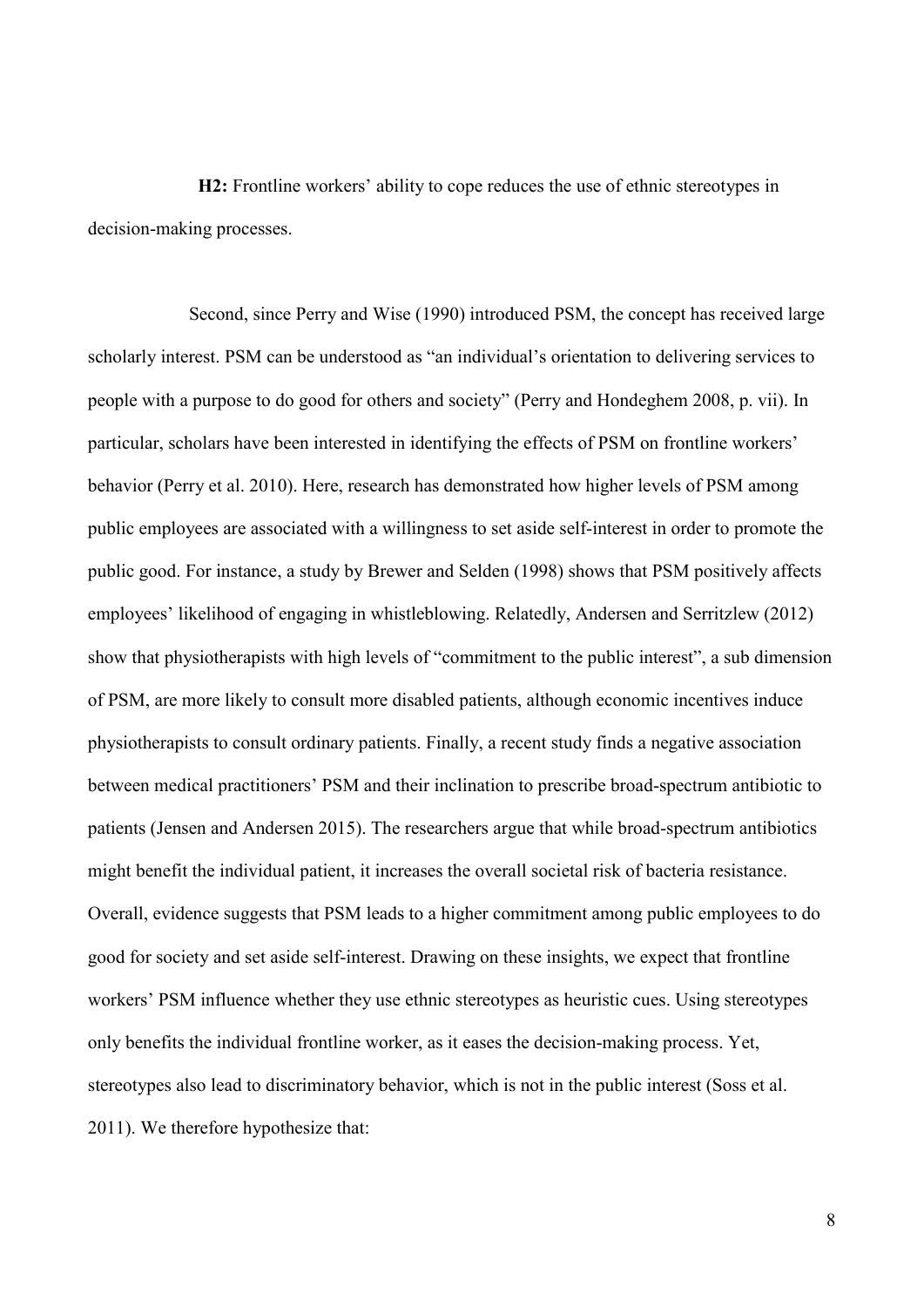**H2:** Frontline workers' ability to cope reduces the use of ethnic stereotypes in decision-making processes.

Second, since Perry and Wise (1990) introduced PSM, the concept has received large scholarly interest. PSM can be understood as "an individual's orientation to delivering services to people with a purpose to do good for others and society" (Perry and Hondeghem 2008, p. vii). In particular, scholars have been interested in identifying the effects of PSM on frontline workers' behavior (Perry et al. 2010). Here, research has demonstrated how higher levels of PSM among public employees are associated with a willingness to set aside self-interest in order to promote the public good. For instance, a study by Brewer and Selden (1998) shows that PSM positively affects employees' likelihood of engaging in whistleblowing. Relatedly, Andersen and Serritzlew (2012) show that physiotherapists with high levels of "commitment to the public interest", a sub dimension of PSM, are more likely to consult more disabled patients, although economic incentives induce physiotherapists to consult ordinary patients. Finally, a recent study finds a negative association between medical practitioners' PSM and their inclination to prescribe broad‐spectrum antibiotic to patients (Jensen and Andersen 2015). The researchers argue that while broad-spectrum antibiotics might benefit the individual patient, it increases the overall societal risk of bacteria resistance. Overall, evidence suggests that PSM leads to a higher commitment among public employees to do good for society and set aside self-interest. Drawing on these insights, we expect that frontline workers' PSM influence whether they use ethnic stereotypes as heuristic cues. Using stereotypes only benefits the individual frontline worker, as it eases the decision-making process. Yet, stereotypes also lead to discriminatory behavior, which is not in the public interest (Soss et al. 2011). We therefore hypothesize that: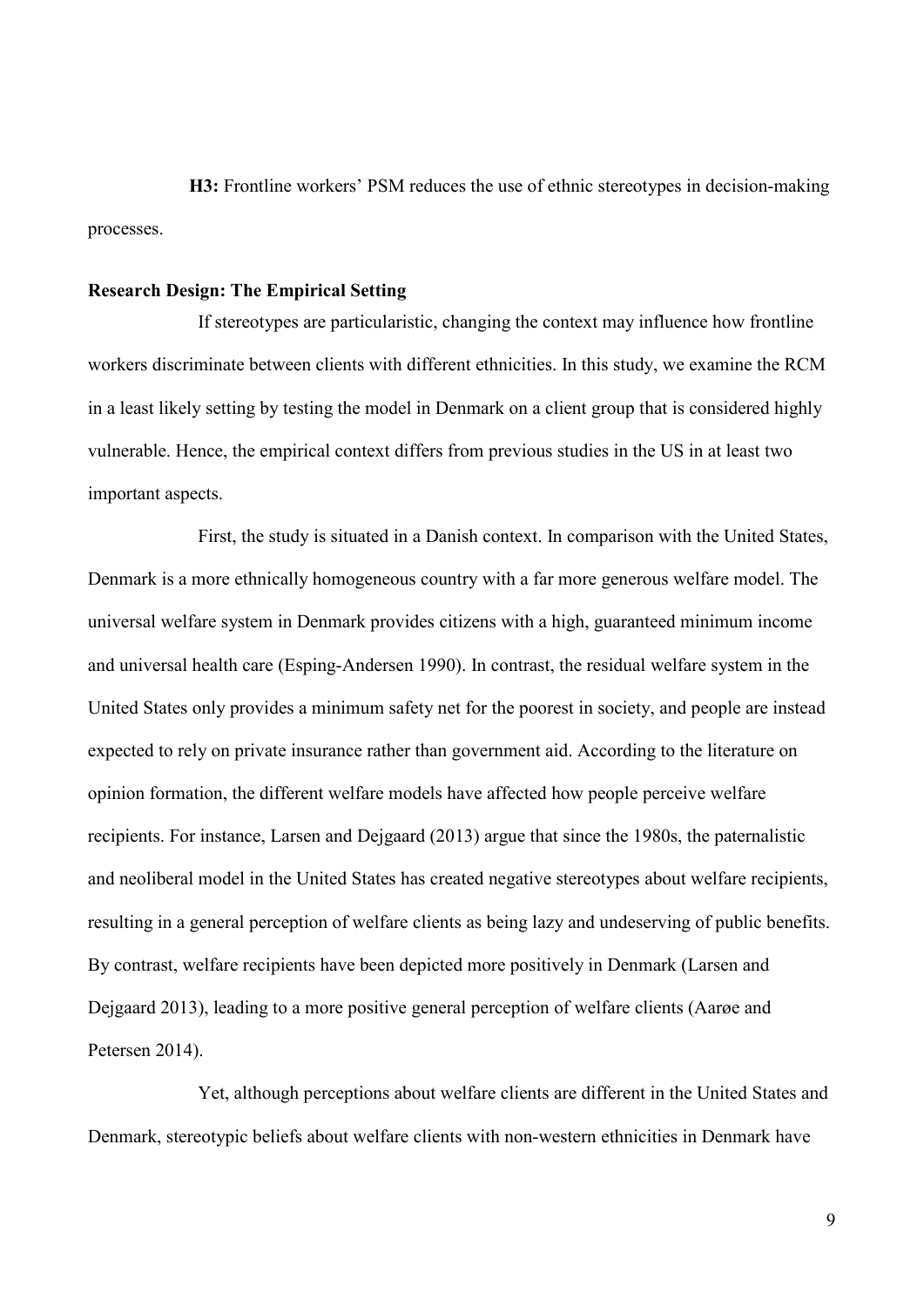**H3:** Frontline workers' PSM reduces the use of ethnic stereotypes in decision-making processes.

#### **Research Design: The Empirical Setting**

If stereotypes are particularistic, changing the context may influence how frontline workers discriminate between clients with different ethnicities. In this study, we examine the RCM in a least likely setting by testing the model in Denmark on a client group that is considered highly vulnerable. Hence, the empirical context differs from previous studies in the US in at least two important aspects.

First, the study is situated in a Danish context. In comparison with the United States, Denmark is a more ethnically homogeneous country with a far more generous welfare model. The universal welfare system in Denmark provides citizens with a high, guaranteed minimum income and universal health care (Esping-Andersen 1990). In contrast, the residual welfare system in the United States only provides a minimum safety net for the poorest in society, and people are instead expected to rely on private insurance rather than government aid. According to the literature on opinion formation, the different welfare models have affected how people perceive welfare recipients. For instance, Larsen and Dejgaard (2013) argue that since the 1980s, the paternalistic and neoliberal model in the United States has created negative stereotypes about welfare recipients, resulting in a general perception of welfare clients as being lazy and undeserving of public benefits. By contrast, welfare recipients have been depicted more positively in Denmark (Larsen and Dejgaard 2013), leading to a more positive general perception of welfare clients (Aarøe and Petersen 2014).

Yet, although perceptions about welfare clients are different in the United States and Denmark, stereotypic beliefs about welfare clients with non-western ethnicities in Denmark have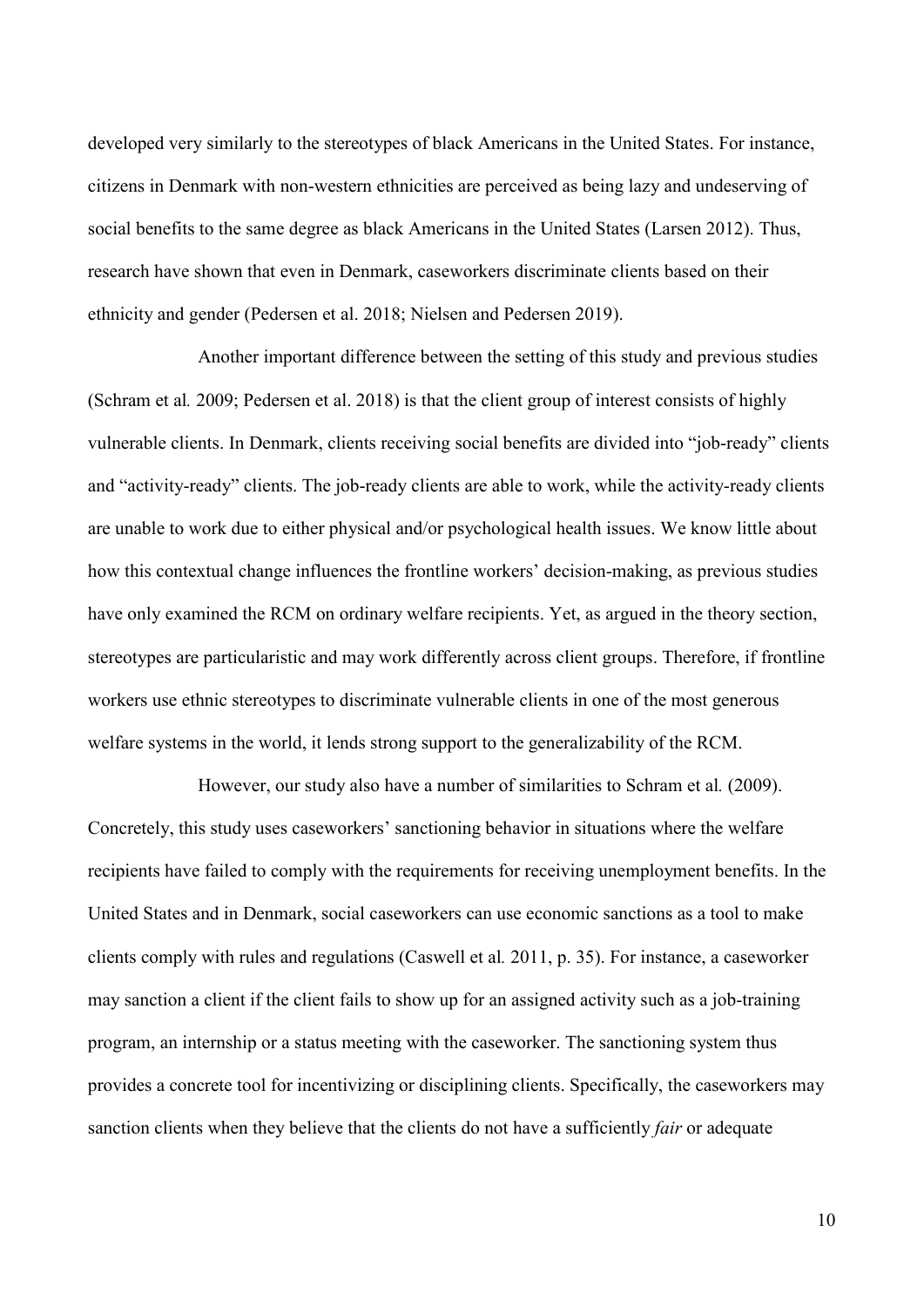developed very similarly to the stereotypes of black Americans in the United States. For instance, citizens in Denmark with non-western ethnicities are perceived as being lazy and undeserving of social benefits to the same degree as black Americans in the United States (Larsen 2012). Thus, research have shown that even in Denmark, caseworkers discriminate clients based on their ethnicity and gender (Pedersen et al. 2018; Nielsen and Pedersen 2019).

Another important difference between the setting of this study and previous studies (Schram et al*.* 2009; Pedersen et al. 2018) is that the client group of interest consists of highly vulnerable clients. In Denmark, clients receiving social benefits are divided into "job-ready" clients and "activity-ready" clients. The job-ready clients are able to work, while the activity-ready clients are unable to work due to either physical and/or psychological health issues. We know little about how this contextual change influences the frontline workers' decision-making, as previous studies have only examined the RCM on ordinary welfare recipients. Yet, as argued in the theory section, stereotypes are particularistic and may work differently across client groups. Therefore, if frontline workers use ethnic stereotypes to discriminate vulnerable clients in one of the most generous welfare systems in the world, it lends strong support to the generalizability of the RCM.

However, our study also have a number of similarities to Schram et al*.* (2009). Concretely, this study uses caseworkers' sanctioning behavior in situations where the welfare recipients have failed to comply with the requirements for receiving unemployment benefits. In the United States and in Denmark, social caseworkers can use economic sanctions as a tool to make clients comply with rules and regulations (Caswell et al*.* 2011, p. 35). For instance, a caseworker may sanction a client if the client fails to show up for an assigned activity such as a job-training program, an internship or a status meeting with the caseworker. The sanctioning system thus provides a concrete tool for incentivizing or disciplining clients. Specifically, the caseworkers may sanction clients when they believe that the clients do not have a sufficiently *fair* or adequate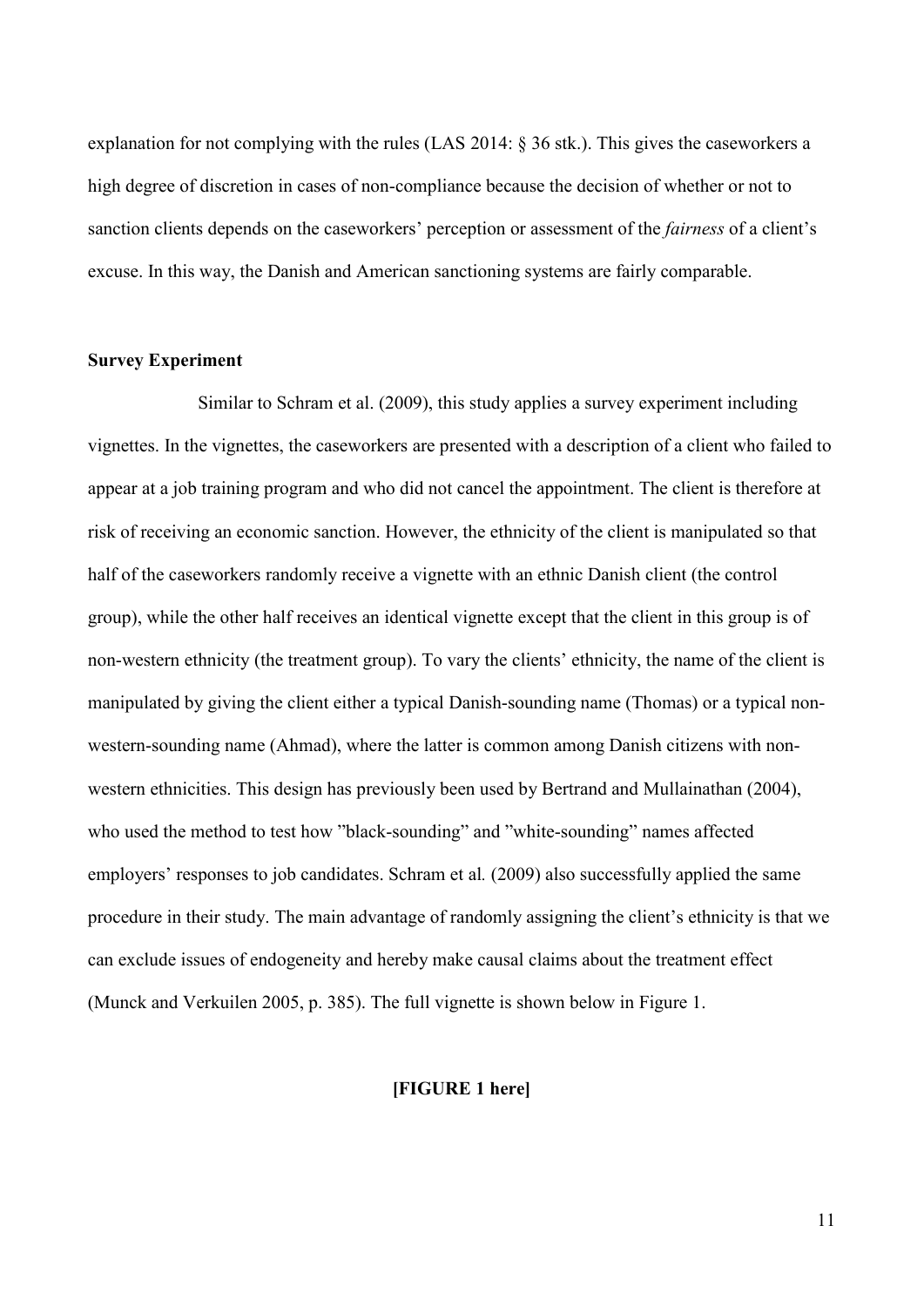explanation for not complying with the rules (LAS 2014: § 36 stk.). This gives the caseworkers a high degree of discretion in cases of non-compliance because the decision of whether or not to sanction clients depends on the caseworkers' perception or assessment of the *fairness* of a client's excuse. In this way, the Danish and American sanctioning systems are fairly comparable.

#### **Survey Experiment**

Similar to Schram et al. (2009), this study applies a survey experiment including vignettes. In the vignettes, the caseworkers are presented with a description of a client who failed to appear at a job training program and who did not cancel the appointment. The client is therefore at risk of receiving an economic sanction. However, the ethnicity of the client is manipulated so that half of the caseworkers randomly receive a vignette with an ethnic Danish client (the control group), while the other half receives an identical vignette except that the client in this group is of non-western ethnicity (the treatment group). To vary the clients' ethnicity, the name of the client is manipulated by giving the client either a typical Danish-sounding name (Thomas) or a typical nonwestern-sounding name (Ahmad), where the latter is common among Danish citizens with nonwestern ethnicities. This design has previously been used by Bertrand and Mullainathan (2004), who used the method to test how "black-sounding" and "white-sounding" names affected employers' responses to job candidates. Schram et al*.* (2009) also successfully applied the same procedure in their study. The main advantage of randomly assigning the client's ethnicity is that we can exclude issues of endogeneity and hereby make causal claims about the treatment effect (Munck and Verkuilen 2005, p. 385). The full vignette is shown below in Figure 1.

#### **[FIGURE 1 here]**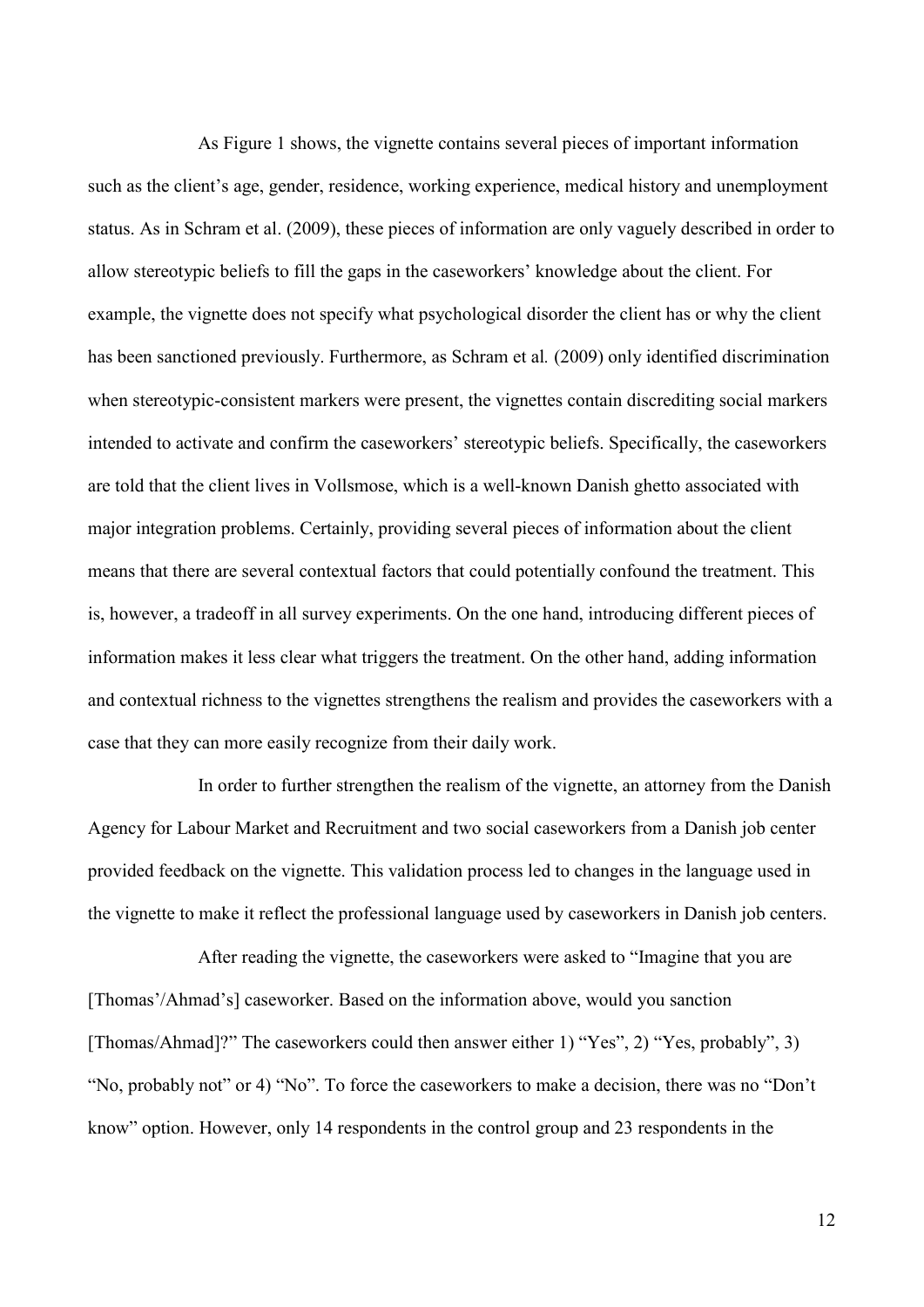As Figure 1 shows, the vignette contains several pieces of important information such as the client's age, gender, residence, working experience, medical history and unemployment status. As in Schram et al. (2009), these pieces of information are only vaguely described in order to allow stereotypic beliefs to fill the gaps in the caseworkers' knowledge about the client. For example, the vignette does not specify what psychological disorder the client has or why the client has been sanctioned previously. Furthermore, as Schram et al*.* (2009) only identified discrimination when stereotypic-consistent markers were present, the vignettes contain discrediting social markers intended to activate and confirm the caseworkers' stereotypic beliefs. Specifically, the caseworkers are told that the client lives in Vollsmose, which is a well-known Danish ghetto associated with major integration problems. Certainly, providing several pieces of information about the client means that there are several contextual factors that could potentially confound the treatment. This is, however, a tradeoff in all survey experiments. On the one hand, introducing different pieces of information makes it less clear what triggers the treatment. On the other hand, adding information and contextual richness to the vignettes strengthens the realism and provides the caseworkers with a case that they can more easily recognize from their daily work.

In order to further strengthen the realism of the vignette, an attorney from the Danish Agency for Labour Market and Recruitment and two social caseworkers from a Danish job center provided feedback on the vignette. This validation process led to changes in the language used in the vignette to make it reflect the professional language used by caseworkers in Danish job centers.

After reading the vignette, the caseworkers were asked to "Imagine that you are [Thomas'/Ahmad's] caseworker. Based on the information above, would you sanction [Thomas/Ahmad]?" The caseworkers could then answer either 1) "Yes", 2) "Yes, probably", 3) "No, probably not" or 4) "No". To force the caseworkers to make a decision, there was no "Don't know" option. However, only 14 respondents in the control group and 23 respondents in the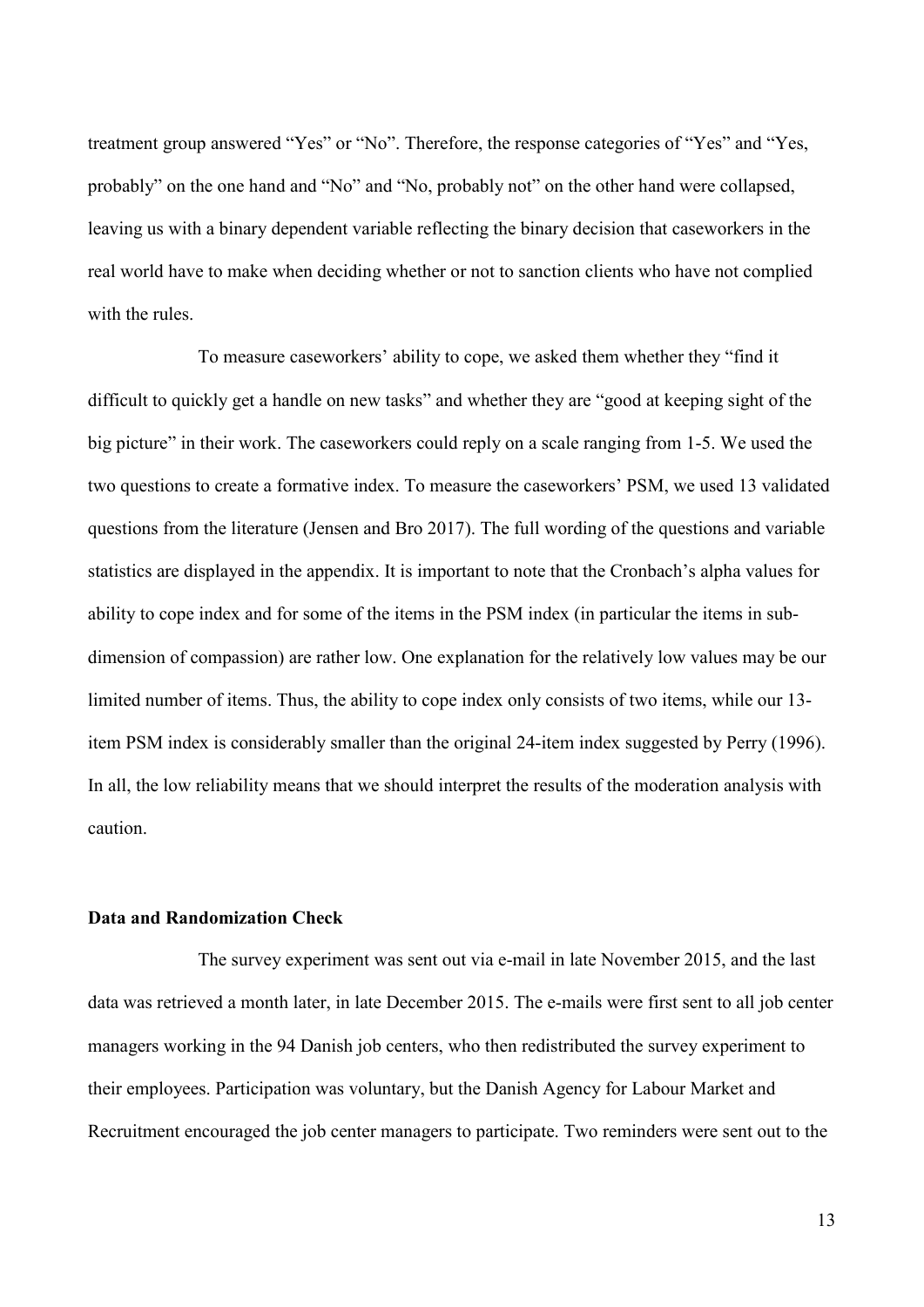treatment group answered "Yes" or "No". Therefore, the response categories of "Yes" and "Yes, probably" on the one hand and "No" and "No, probably not" on the other hand were collapsed, leaving us with a binary dependent variable reflecting the binary decision that caseworkers in the real world have to make when deciding whether or not to sanction clients who have not complied with the rules.

To measure caseworkers' ability to cope, we asked them whether they "find it difficult to quickly get a handle on new tasks" and whether they are "good at keeping sight of the big picture" in their work. The caseworkers could reply on a scale ranging from 1-5. We used the two questions to create a formative index. To measure the caseworkers' PSM, we used 13 validated questions from the literature (Jensen and Bro 2017). The full wording of the questions and variable statistics are displayed in the appendix. It is important to note that the Cronbach's alpha values for ability to cope index and for some of the items in the PSM index (in particular the items in subdimension of compassion) are rather low. One explanation for the relatively low values may be our limited number of items. Thus, the ability to cope index only consists of two items, while our 13 item PSM index is considerably smaller than the original 24-item index suggested by Perry (1996). In all, the low reliability means that we should interpret the results of the moderation analysis with caution.

#### **Data and Randomization Check**

The survey experiment was sent out via e-mail in late November 2015, and the last data was retrieved a month later, in late December 2015. The e-mails were first sent to all job center managers working in the 94 Danish job centers, who then redistributed the survey experiment to their employees. Participation was voluntary, but the Danish Agency for Labour Market and Recruitment encouraged the job center managers to participate. Two reminders were sent out to the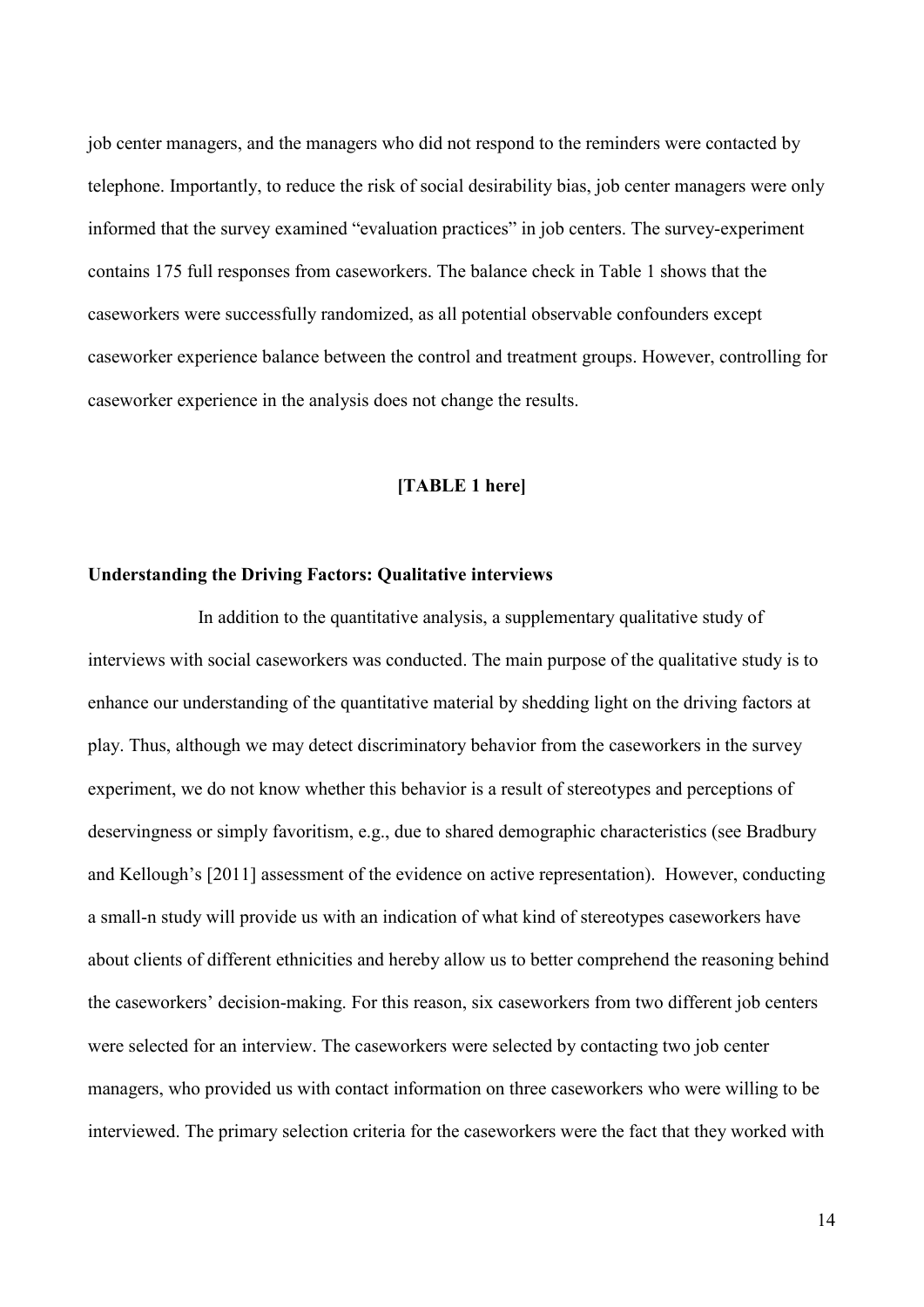job center managers, and the managers who did not respond to the reminders were contacted by telephone. Importantly, to reduce the risk of social desirability bias, job center managers were only informed that the survey examined "evaluation practices" in job centers. The survey-experiment contains 175 full responses from caseworkers. The balance check in Table 1 shows that the caseworkers were successfully randomized, as all potential observable confounders except caseworker experience balance between the control and treatment groups. However, controlling for caseworker experience in the analysis does not change the results.

#### **[TABLE 1 here]**

#### **Understanding the Driving Factors: Qualitative interviews**

In addition to the quantitative analysis, a supplementary qualitative study of interviews with social caseworkers was conducted. The main purpose of the qualitative study is to enhance our understanding of the quantitative material by shedding light on the driving factors at play. Thus, although we may detect discriminatory behavior from the caseworkers in the survey experiment, we do not know whether this behavior is a result of stereotypes and perceptions of deservingness or simply favoritism, e.g., due to shared demographic characteristics (see Bradbury and Kellough's [2011] assessment of the evidence on active representation). However, conducting a small-n study will provide us with an indication of what kind of stereotypes caseworkers have about clients of different ethnicities and hereby allow us to better comprehend the reasoning behind the caseworkers' decision-making. For this reason, six caseworkers from two different job centers were selected for an interview. The caseworkers were selected by contacting two job center managers, who provided us with contact information on three caseworkers who were willing to be interviewed. The primary selection criteria for the caseworkers were the fact that they worked with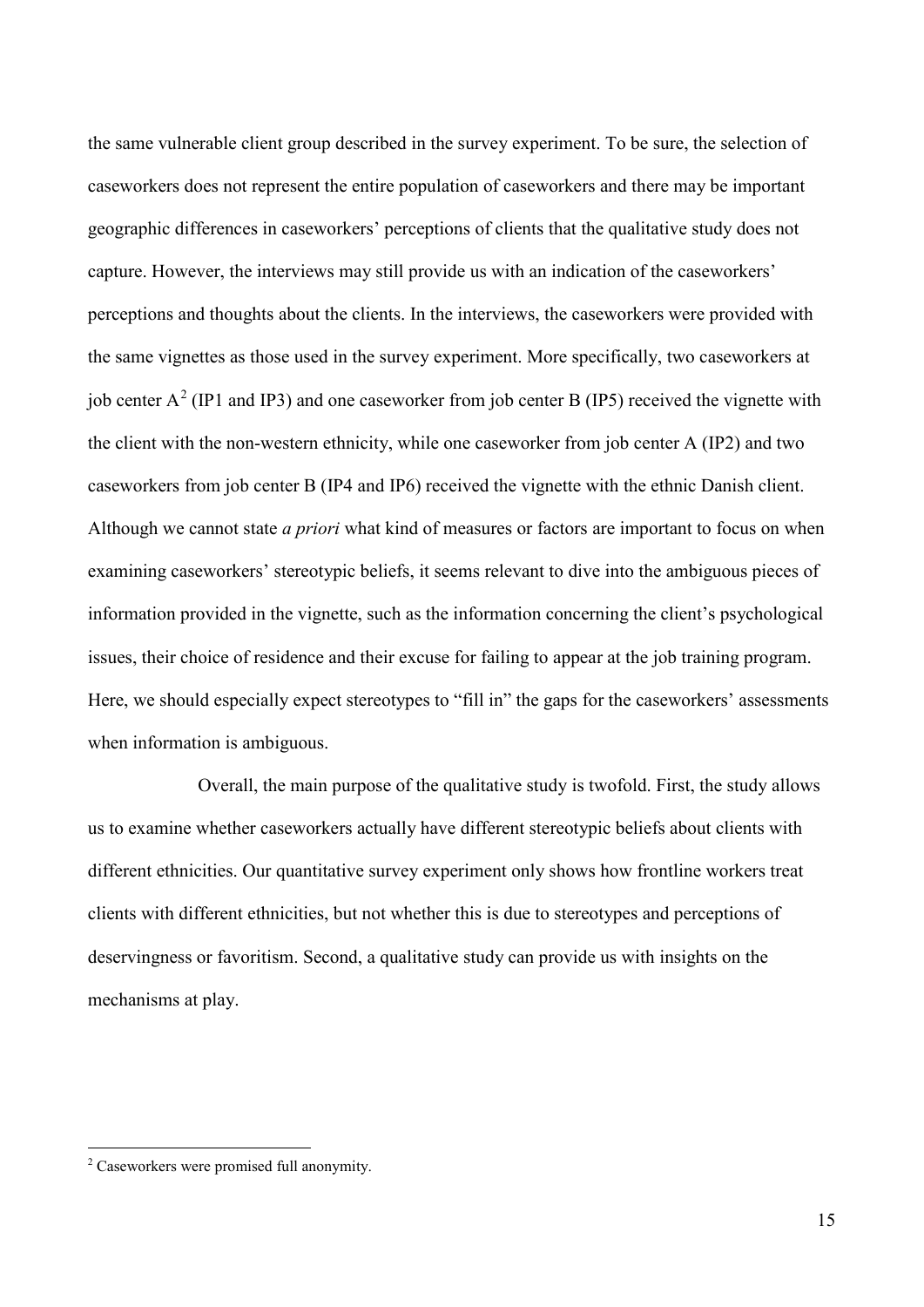the same vulnerable client group described in the survey experiment. To be sure, the selection of caseworkers does not represent the entire population of caseworkers and there may be important geographic differences in caseworkers' perceptions of clients that the qualitative study does not capture. However, the interviews may still provide us with an indication of the caseworkers' perceptions and thoughts about the clients. In the interviews, the caseworkers were provided with the same vignettes as those used in the survey experiment. More specifically, two caseworkers at job center  $A^2$  $A^2$  (IP1 and IP3) and one caseworker from job center B (IP5) received the vignette with the client with the non-western ethnicity, while one caseworker from job center A (IP2) and two caseworkers from job center B (IP4 and IP6) received the vignette with the ethnic Danish client. Although we cannot state *a priori* what kind of measures or factors are important to focus on when examining caseworkers' stereotypic beliefs, it seems relevant to dive into the ambiguous pieces of information provided in the vignette, such as the information concerning the client's psychological issues, their choice of residence and their excuse for failing to appear at the job training program. Here, we should especially expect stereotypes to "fill in" the gaps for the caseworkers' assessments when information is ambiguous.

Overall, the main purpose of the qualitative study is twofold. First, the study allows us to examine whether caseworkers actually have different stereotypic beliefs about clients with different ethnicities. Our quantitative survey experiment only shows how frontline workers treat clients with different ethnicities, but not whether this is due to stereotypes and perceptions of deservingness or favoritism. Second, a qualitative study can provide us with insights on the mechanisms at play.

<span id="page-15-0"></span> <sup>2</sup> Caseworkers were promised full anonymity.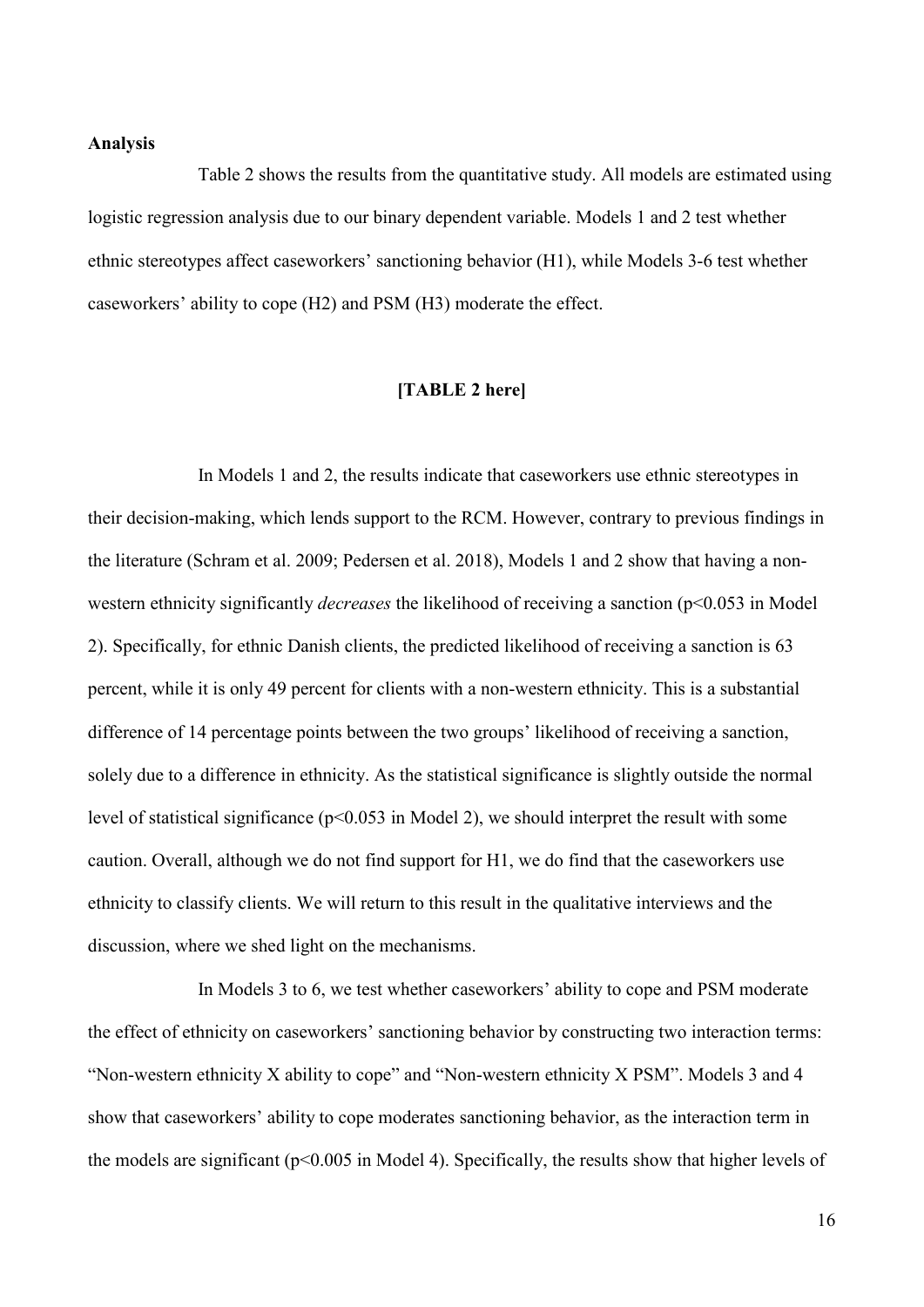#### **Analysis**

Table 2 shows the results from the quantitative study. All models are estimated using logistic regression analysis due to our binary dependent variable. Models 1 and 2 test whether ethnic stereotypes affect caseworkers' sanctioning behavior (H1), while Models 3-6 test whether caseworkers' ability to cope (H2) and PSM (H3) moderate the effect.

#### **[TABLE 2 here]**

In Models 1 and 2, the results indicate that caseworkers use ethnic stereotypes in their decision-making, which lends support to the RCM. However, contrary to previous findings in the literature (Schram et al. 2009; Pedersen et al. 2018), Models 1 and 2 show that having a nonwestern ethnicity significantly *decreases* the likelihood of receiving a sanction (p<0.053 in Model) 2). Specifically, for ethnic Danish clients, the predicted likelihood of receiving a sanction is 63 percent, while it is only 49 percent for clients with a non-western ethnicity. This is a substantial difference of 14 percentage points between the two groups' likelihood of receiving a sanction, solely due to a difference in ethnicity. As the statistical significance is slightly outside the normal level of statistical significance (p<0.053 in Model 2), we should interpret the result with some caution. Overall, although we do not find support for H1, we do find that the caseworkers use ethnicity to classify clients. We will return to this result in the qualitative interviews and the discussion, where we shed light on the mechanisms.

In Models 3 to 6, we test whether caseworkers' ability to cope and PSM moderate the effect of ethnicity on caseworkers' sanctioning behavior by constructing two interaction terms: "Non-western ethnicity X ability to cope" and "Non-western ethnicity X PSM". Models 3 and 4 show that caseworkers' ability to cope moderates sanctioning behavior, as the interaction term in the models are significant (p<0.005 in Model 4). Specifically, the results show that higher levels of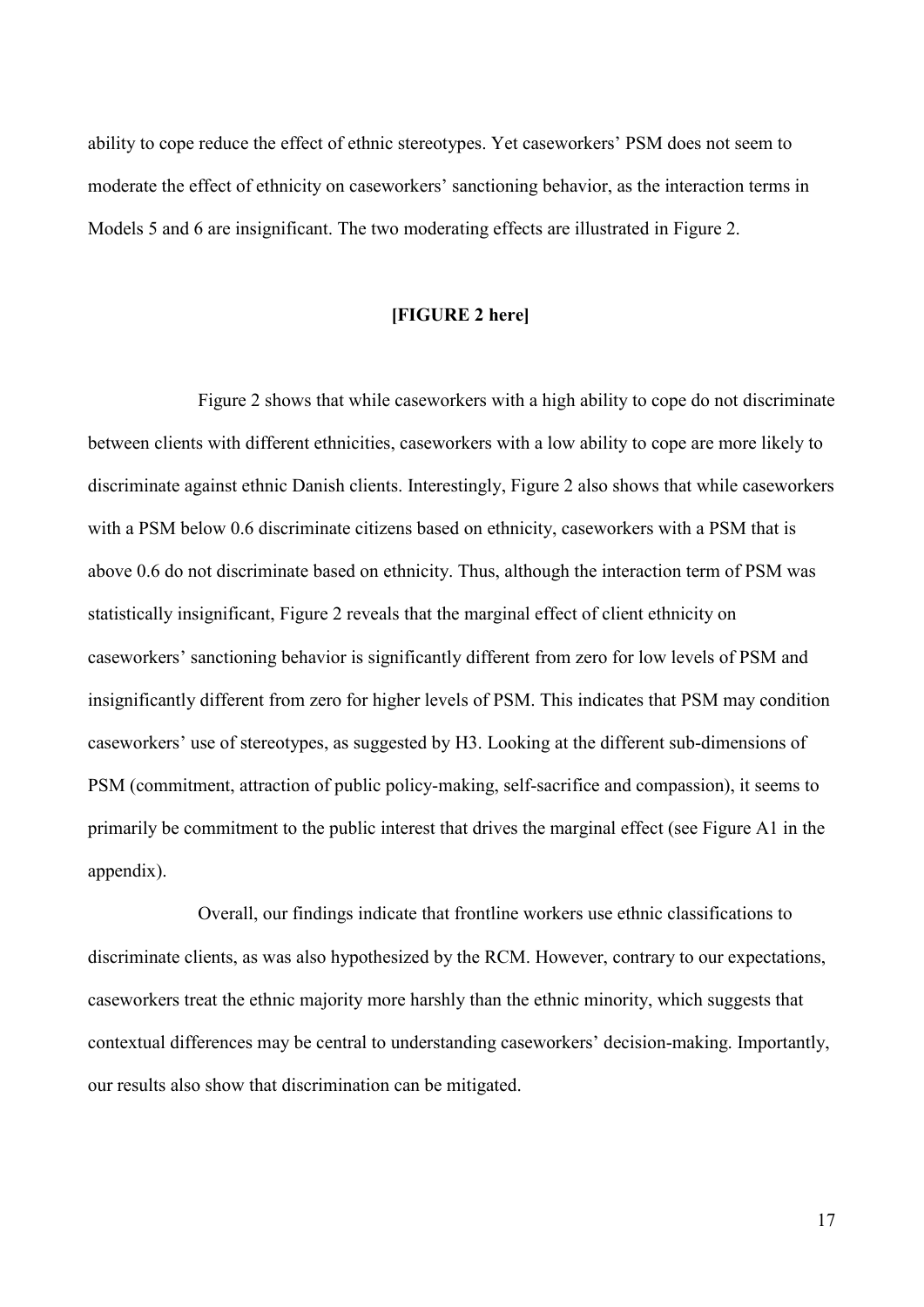ability to cope reduce the effect of ethnic stereotypes. Yet caseworkers' PSM does not seem to moderate the effect of ethnicity on caseworkers' sanctioning behavior, as the interaction terms in Models 5 and 6 are insignificant. The two moderating effects are illustrated in Figure 2.

#### **[FIGURE 2 here]**

Figure 2 shows that while caseworkers with a high ability to cope do not discriminate between clients with different ethnicities, caseworkers with a low ability to cope are more likely to discriminate against ethnic Danish clients. Interestingly, Figure 2 also shows that while caseworkers with a PSM below 0.6 discriminate citizens based on ethnicity, caseworkers with a PSM that is above 0.6 do not discriminate based on ethnicity. Thus, although the interaction term of PSM was statistically insignificant, Figure 2 reveals that the marginal effect of client ethnicity on caseworkers' sanctioning behavior is significantly different from zero for low levels of PSM and insignificantly different from zero for higher levels of PSM. This indicates that PSM may condition caseworkers' use of stereotypes, as suggested by H3. Looking at the different sub-dimensions of PSM (commitment, attraction of public policy-making, self-sacrifice and compassion), it seems to primarily be commitment to the public interest that drives the marginal effect (see Figure A1 in the appendix).

Overall, our findings indicate that frontline workers use ethnic classifications to discriminate clients, as was also hypothesized by the RCM. However, contrary to our expectations, caseworkers treat the ethnic majority more harshly than the ethnic minority, which suggests that contextual differences may be central to understanding caseworkers' decision-making. Importantly, our results also show that discrimination can be mitigated.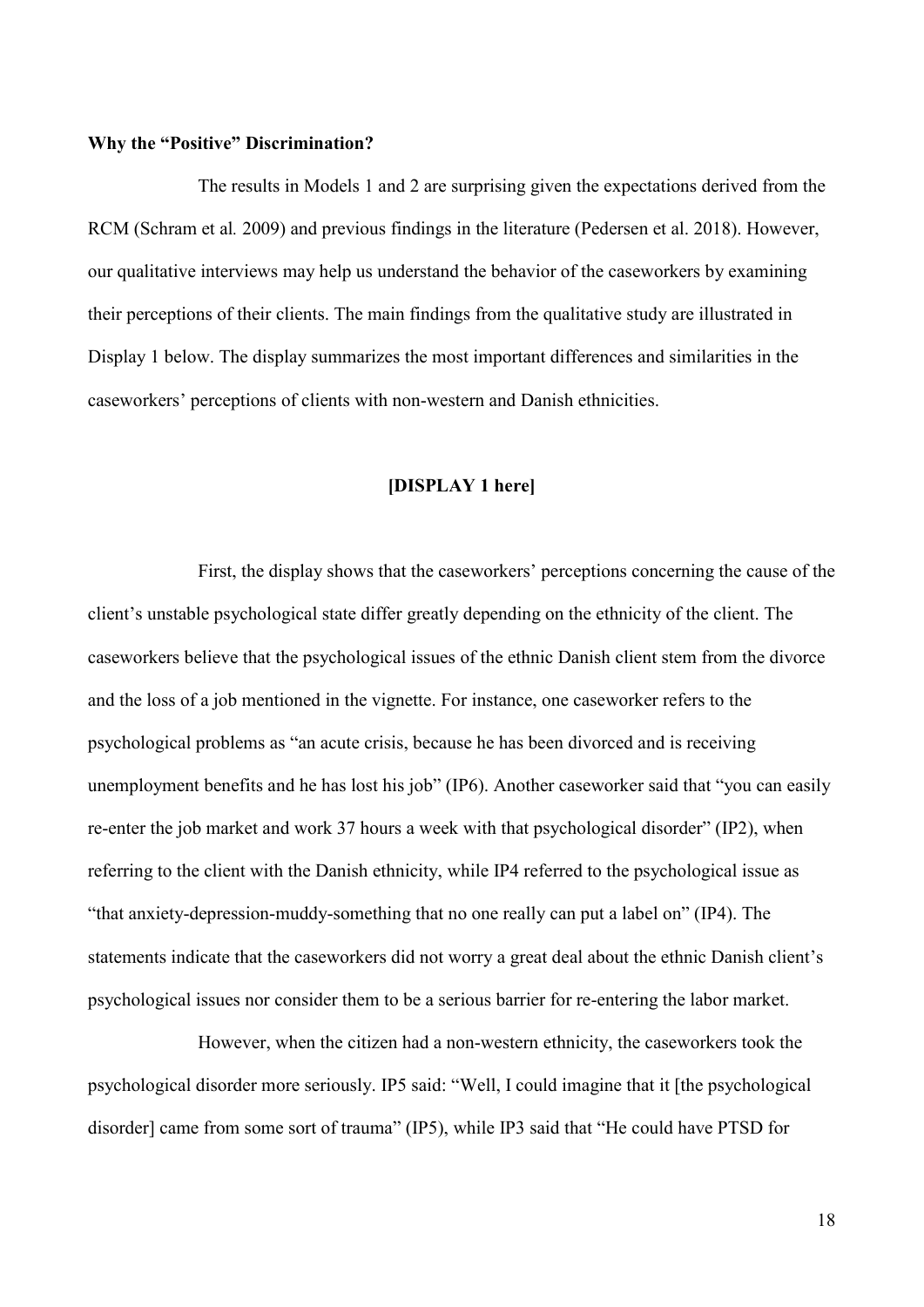#### **Why the "Positive" Discrimination?**

The results in Models 1 and 2 are surprising given the expectations derived from the RCM (Schram et al*.* 2009) and previous findings in the literature (Pedersen et al. 2018). However, our qualitative interviews may help us understand the behavior of the caseworkers by examining their perceptions of their clients. The main findings from the qualitative study are illustrated in Display 1 below. The display summarizes the most important differences and similarities in the caseworkers' perceptions of clients with non-western and Danish ethnicities.

#### **[DISPLAY 1 here]**

First, the display shows that the caseworkers' perceptions concerning the cause of the client's unstable psychological state differ greatly depending on the ethnicity of the client. The caseworkers believe that the psychological issues of the ethnic Danish client stem from the divorce and the loss of a job mentioned in the vignette. For instance, one caseworker refers to the psychological problems as "an acute crisis, because he has been divorced and is receiving unemployment benefits and he has lost his job" (IP6). Another caseworker said that "you can easily re-enter the job market and work 37 hours a week with that psychological disorder" (IP2), when referring to the client with the Danish ethnicity, while IP4 referred to the psychological issue as "that anxiety-depression-muddy-something that no one really can put a label on" (IP4). The statements indicate that the caseworkers did not worry a great deal about the ethnic Danish client's psychological issues nor consider them to be a serious barrier for re-entering the labor market.

However, when the citizen had a non-western ethnicity, the caseworkers took the psychological disorder more seriously. IP5 said: "Well, I could imagine that it [the psychological disorder] came from some sort of trauma" (IP5), while IP3 said that "He could have PTSD for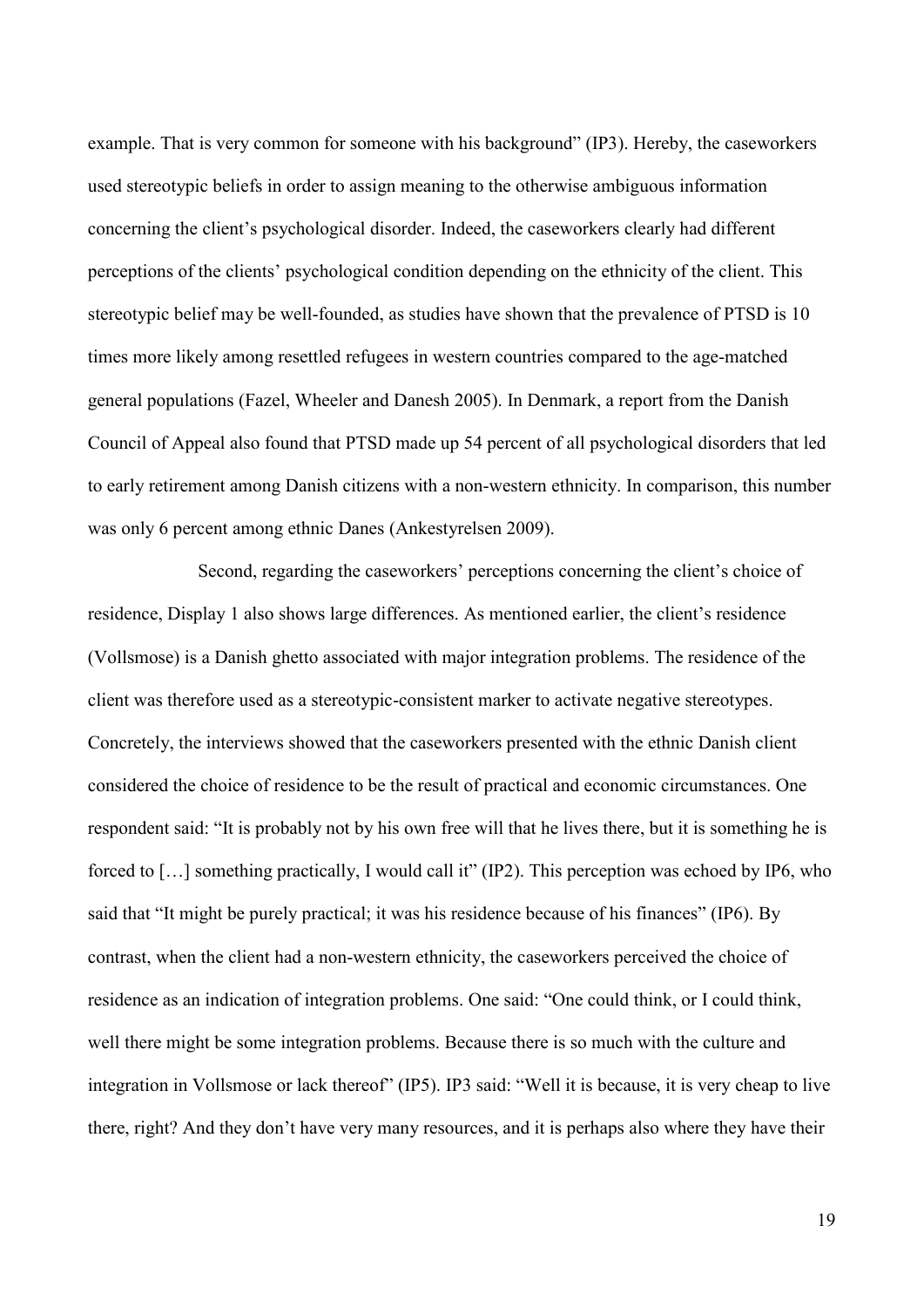example. That is very common for someone with his background" (IP3). Hereby, the caseworkers used stereotypic beliefs in order to assign meaning to the otherwise ambiguous information concerning the client's psychological disorder. Indeed, the caseworkers clearly had different perceptions of the clients' psychological condition depending on the ethnicity of the client. This stereotypic belief may be well-founded, as studies have shown that the prevalence of PTSD is 10 times more likely among resettled refugees in western countries compared to the age-matched general populations (Fazel, Wheeler and Danesh 2005). In Denmark, a report from the Danish Council of Appeal also found that PTSD made up 54 percent of all psychological disorders that led to early retirement among Danish citizens with a non-western ethnicity. In comparison, this number was only 6 percent among ethnic Danes (Ankestyrelsen 2009).

Second, regarding the caseworkers' perceptions concerning the client's choice of residence, Display 1 also shows large differences. As mentioned earlier, the client's residence (Vollsmose) is a Danish ghetto associated with major integration problems. The residence of the client was therefore used as a stereotypic-consistent marker to activate negative stereotypes. Concretely, the interviews showed that the caseworkers presented with the ethnic Danish client considered the choice of residence to be the result of practical and economic circumstances. One respondent said: "It is probably not by his own free will that he lives there, but it is something he is forced to […] something practically, I would call it" (IP2). This perception was echoed by IP6, who said that "It might be purely practical; it was his residence because of his finances" (IP6). By contrast, when the client had a non-western ethnicity, the caseworkers perceived the choice of residence as an indication of integration problems. One said: "One could think, or I could think, well there might be some integration problems. Because there is so much with the culture and integration in Vollsmose or lack thereof" (IP5). IP3 said: "Well it is because, it is very cheap to live there, right? And they don't have very many resources, and it is perhaps also where they have their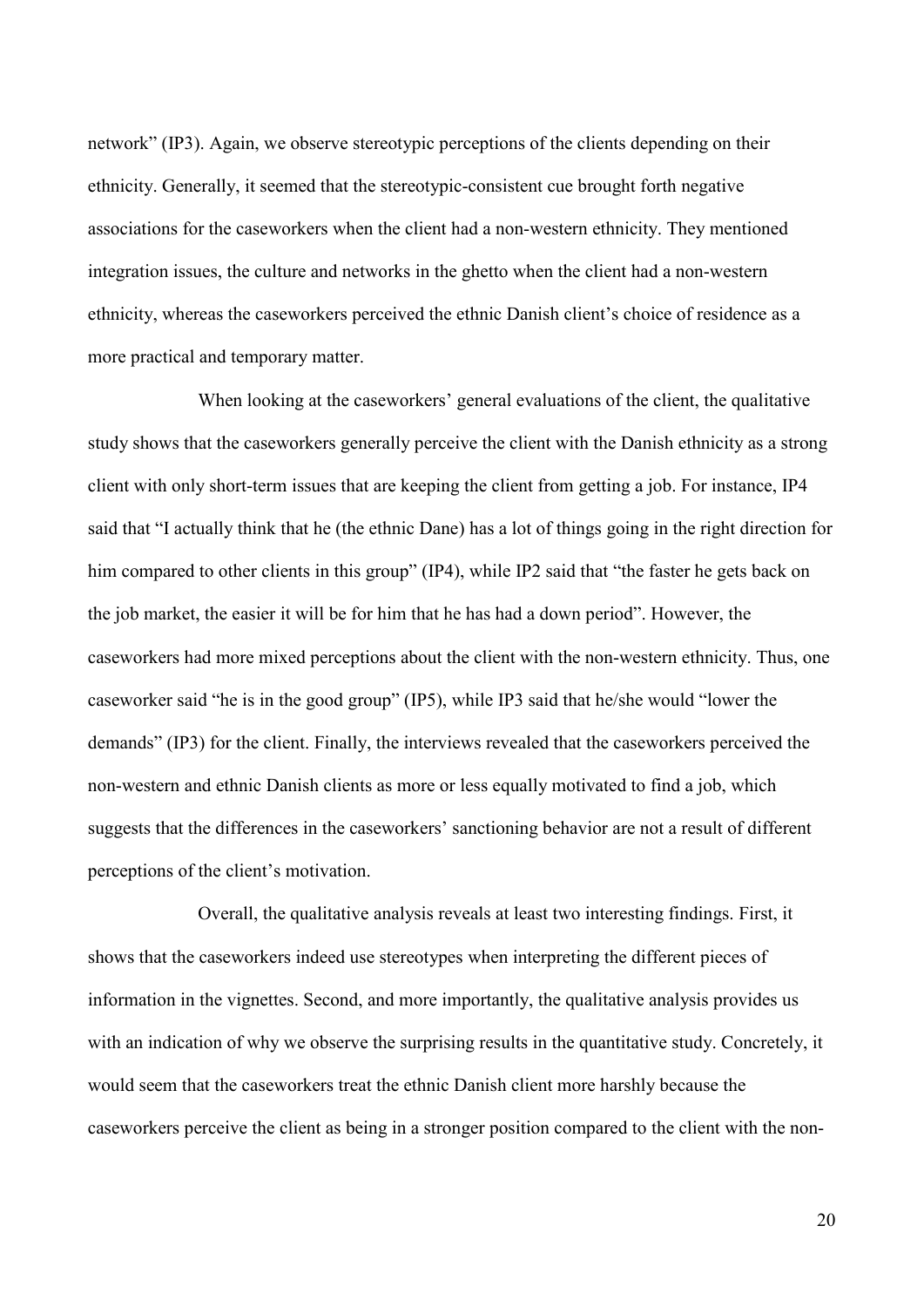network" (IP3). Again, we observe stereotypic perceptions of the clients depending on their ethnicity. Generally, it seemed that the stereotypic-consistent cue brought forth negative associations for the caseworkers when the client had a non-western ethnicity. They mentioned integration issues, the culture and networks in the ghetto when the client had a non-western ethnicity, whereas the caseworkers perceived the ethnic Danish client's choice of residence as a more practical and temporary matter.

When looking at the caseworkers' general evaluations of the client, the qualitative study shows that the caseworkers generally perceive the client with the Danish ethnicity as a strong client with only short-term issues that are keeping the client from getting a job. For instance, IP4 said that "I actually think that he (the ethnic Dane) has a lot of things going in the right direction for him compared to other clients in this group" (IP4), while IP2 said that "the faster he gets back on the job market, the easier it will be for him that he has had a down period". However, the caseworkers had more mixed perceptions about the client with the non-western ethnicity. Thus, one caseworker said "he is in the good group" (IP5), while IP3 said that he/she would "lower the demands" (IP3) for the client. Finally, the interviews revealed that the caseworkers perceived the non-western and ethnic Danish clients as more or less equally motivated to find a job, which suggests that the differences in the caseworkers' sanctioning behavior are not a result of different perceptions of the client's motivation.

Overall, the qualitative analysis reveals at least two interesting findings. First, it shows that the caseworkers indeed use stereotypes when interpreting the different pieces of information in the vignettes. Second, and more importantly, the qualitative analysis provides us with an indication of why we observe the surprising results in the quantitative study. Concretely, it would seem that the caseworkers treat the ethnic Danish client more harshly because the caseworkers perceive the client as being in a stronger position compared to the client with the non-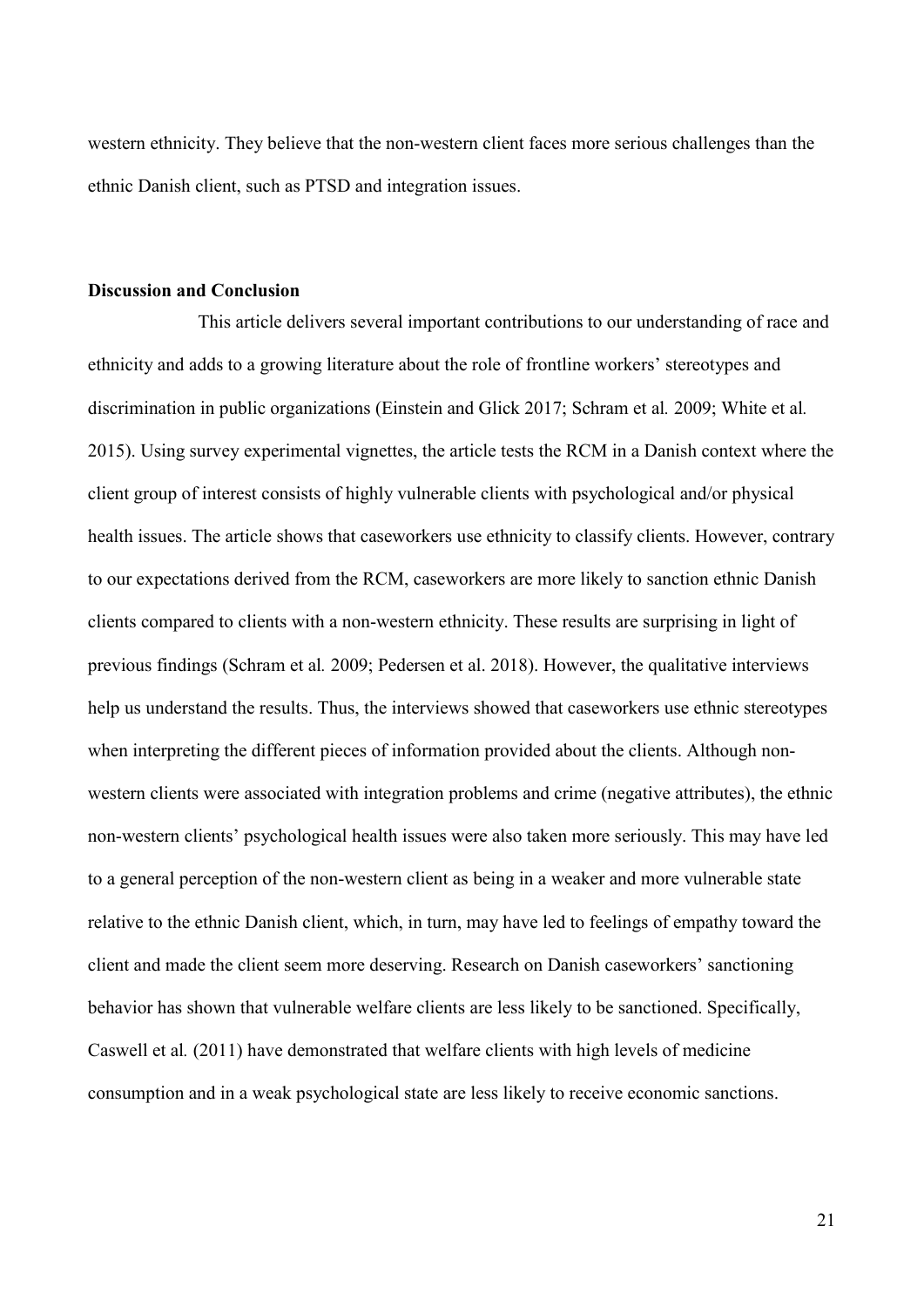western ethnicity. They believe that the non-western client faces more serious challenges than the ethnic Danish client, such as PTSD and integration issues.

#### **Discussion and Conclusion**

This article delivers several important contributions to our understanding of race and ethnicity and adds to a growing literature about the role of frontline workers' stereotypes and discrimination in public organizations (Einstein and Glick 2017; Schram et al*.* 2009; White et al*.* 2015). Using survey experimental vignettes, the article tests the RCM in a Danish context where the client group of interest consists of highly vulnerable clients with psychological and/or physical health issues. The article shows that caseworkers use ethnicity to classify clients. However, contrary to our expectations derived from the RCM, caseworkers are more likely to sanction ethnic Danish clients compared to clients with a non-western ethnicity. These results are surprising in light of previous findings (Schram et al*.* 2009; Pedersen et al. 2018). However, the qualitative interviews help us understand the results. Thus, the interviews showed that caseworkers use ethnic stereotypes when interpreting the different pieces of information provided about the clients. Although nonwestern clients were associated with integration problems and crime (negative attributes), the ethnic non-western clients' psychological health issues were also taken more seriously. This may have led to a general perception of the non-western client as being in a weaker and more vulnerable state relative to the ethnic Danish client, which, in turn, may have led to feelings of empathy toward the client and made the client seem more deserving. Research on Danish caseworkers' sanctioning behavior has shown that vulnerable welfare clients are less likely to be sanctioned. Specifically, Caswell et al*.* (2011) have demonstrated that welfare clients with high levels of medicine consumption and in a weak psychological state are less likely to receive economic sanctions.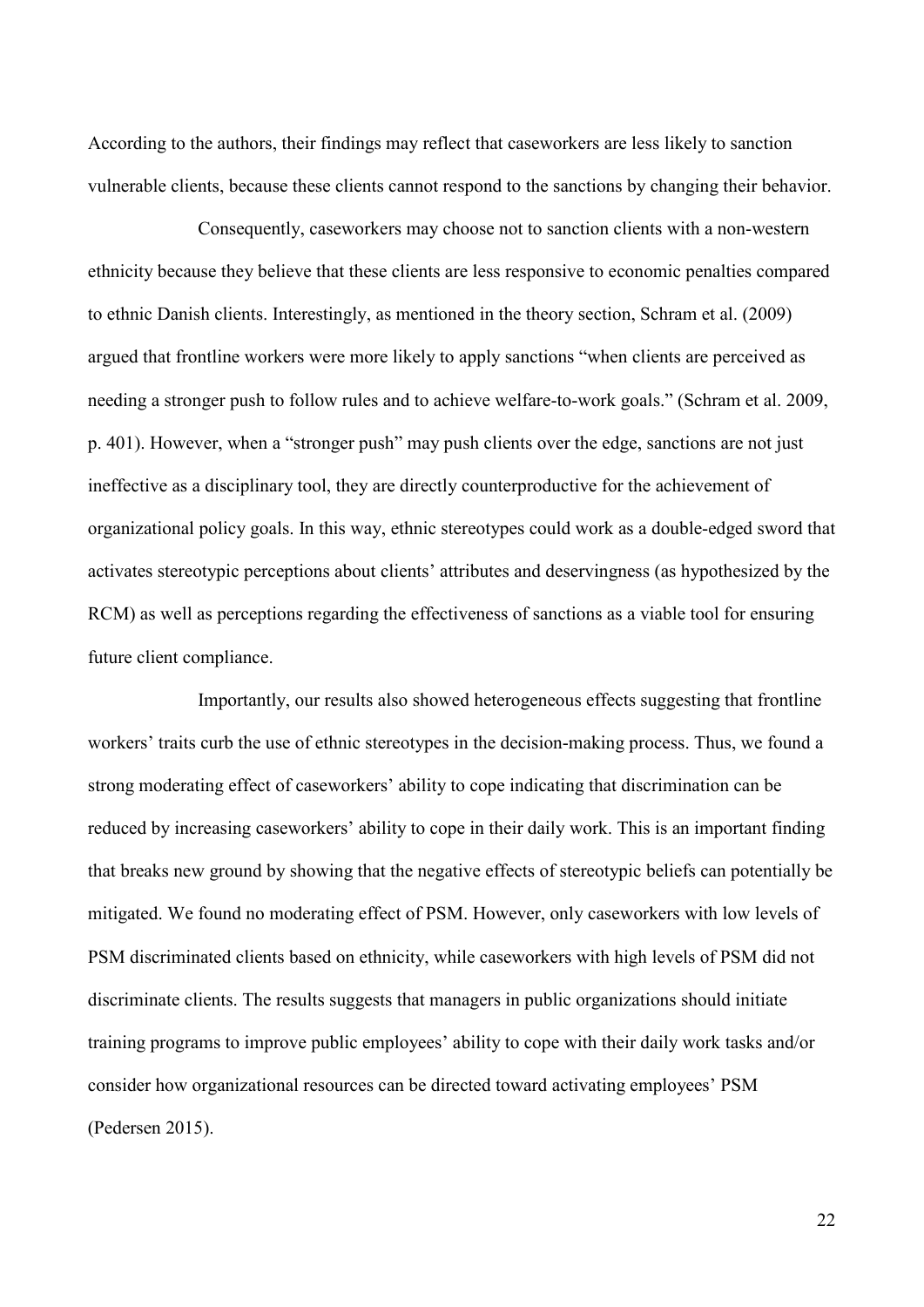According to the authors, their findings may reflect that caseworkers are less likely to sanction vulnerable clients, because these clients cannot respond to the sanctions by changing their behavior.

Consequently, caseworkers may choose not to sanction clients with a non-western ethnicity because they believe that these clients are less responsive to economic penalties compared to ethnic Danish clients. Interestingly, as mentioned in the theory section, Schram et al. (2009) argued that frontline workers were more likely to apply sanctions "when clients are perceived as needing a stronger push to follow rules and to achieve welfare-to-work goals." (Schram et al. 2009, p. 401). However, when a "stronger push" may push clients over the edge, sanctions are not just ineffective as a disciplinary tool, they are directly counterproductive for the achievement of organizational policy goals. In this way, ethnic stereotypes could work as a double-edged sword that activates stereotypic perceptions about clients' attributes and deservingness (as hypothesized by the RCM) as well as perceptions regarding the effectiveness of sanctions as a viable tool for ensuring future client compliance.

Importantly, our results also showed heterogeneous effects suggesting that frontline workers' traits curb the use of ethnic stereotypes in the decision-making process. Thus, we found a strong moderating effect of caseworkers' ability to cope indicating that discrimination can be reduced by increasing caseworkers' ability to cope in their daily work. This is an important finding that breaks new ground by showing that the negative effects of stereotypic beliefs can potentially be mitigated. We found no moderating effect of PSM. However, only caseworkers with low levels of PSM discriminated clients based on ethnicity, while caseworkers with high levels of PSM did not discriminate clients. The results suggests that managers in public organizations should initiate training programs to improve public employees' ability to cope with their daily work tasks and/or consider how organizational resources can be directed toward activating employees' PSM (Pedersen 2015).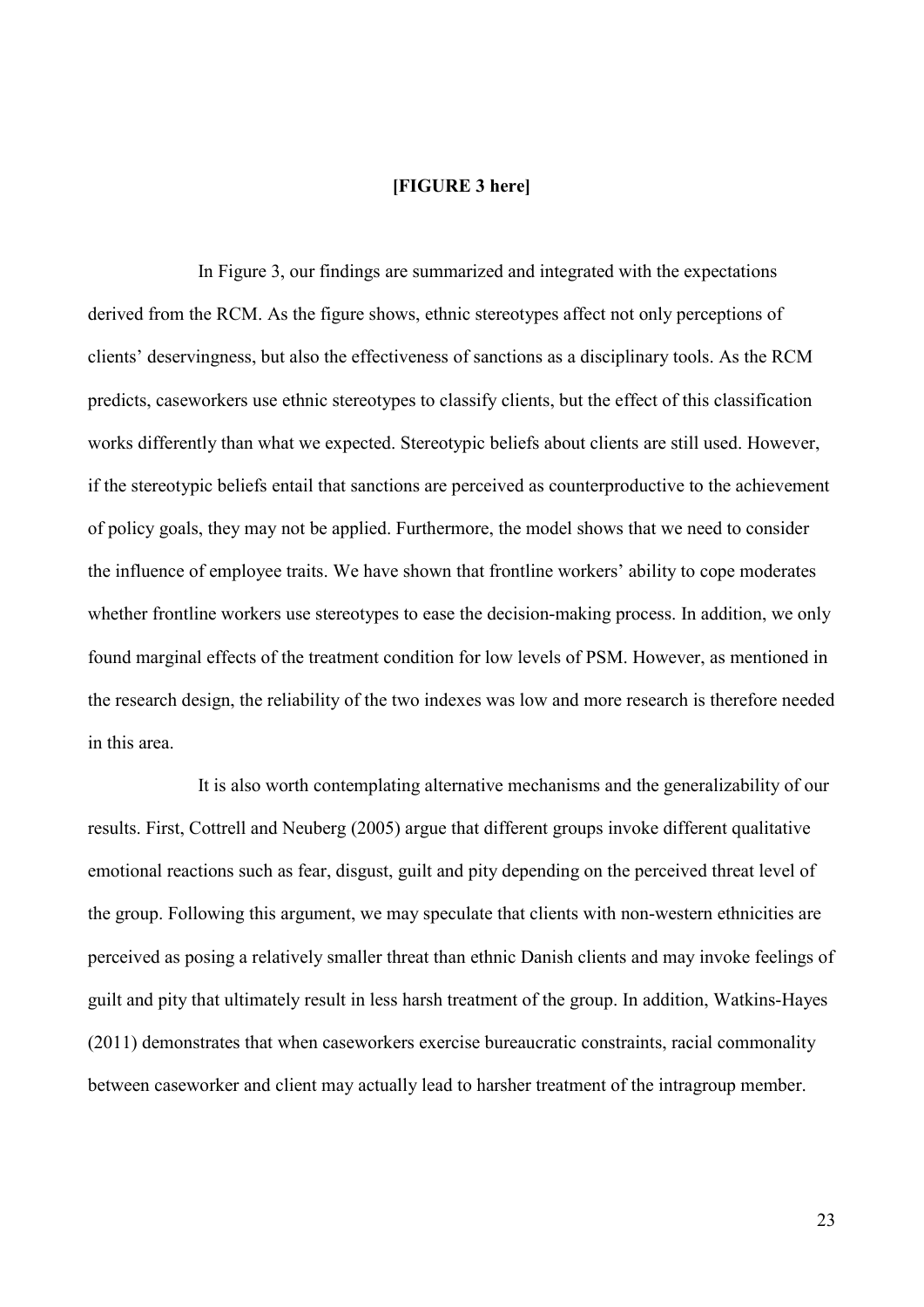#### **[FIGURE 3 here]**

In Figure 3, our findings are summarized and integrated with the expectations derived from the RCM. As the figure shows, ethnic stereotypes affect not only perceptions of clients' deservingness, but also the effectiveness of sanctions as a disciplinary tools. As the RCM predicts, caseworkers use ethnic stereotypes to classify clients, but the effect of this classification works differently than what we expected. Stereotypic beliefs about clients are still used. However, if the stereotypic beliefs entail that sanctions are perceived as counterproductive to the achievement of policy goals, they may not be applied. Furthermore, the model shows that we need to consider the influence of employee traits. We have shown that frontline workers' ability to cope moderates whether frontline workers use stereotypes to ease the decision-making process. In addition, we only found marginal effects of the treatment condition for low levels of PSM. However, as mentioned in the research design, the reliability of the two indexes was low and more research is therefore needed in this area.

It is also worth contemplating alternative mechanisms and the generalizability of our results. First, Cottrell and Neuberg (2005) argue that different groups invoke different qualitative emotional reactions such as fear, disgust, guilt and pity depending on the perceived threat level of the group. Following this argument, we may speculate that clients with non-western ethnicities are perceived as posing a relatively smaller threat than ethnic Danish clients and may invoke feelings of guilt and pity that ultimately result in less harsh treatment of the group. In addition, Watkins-Hayes (2011) demonstrates that when caseworkers exercise bureaucratic constraints, racial commonality between caseworker and client may actually lead to harsher treatment of the intragroup member.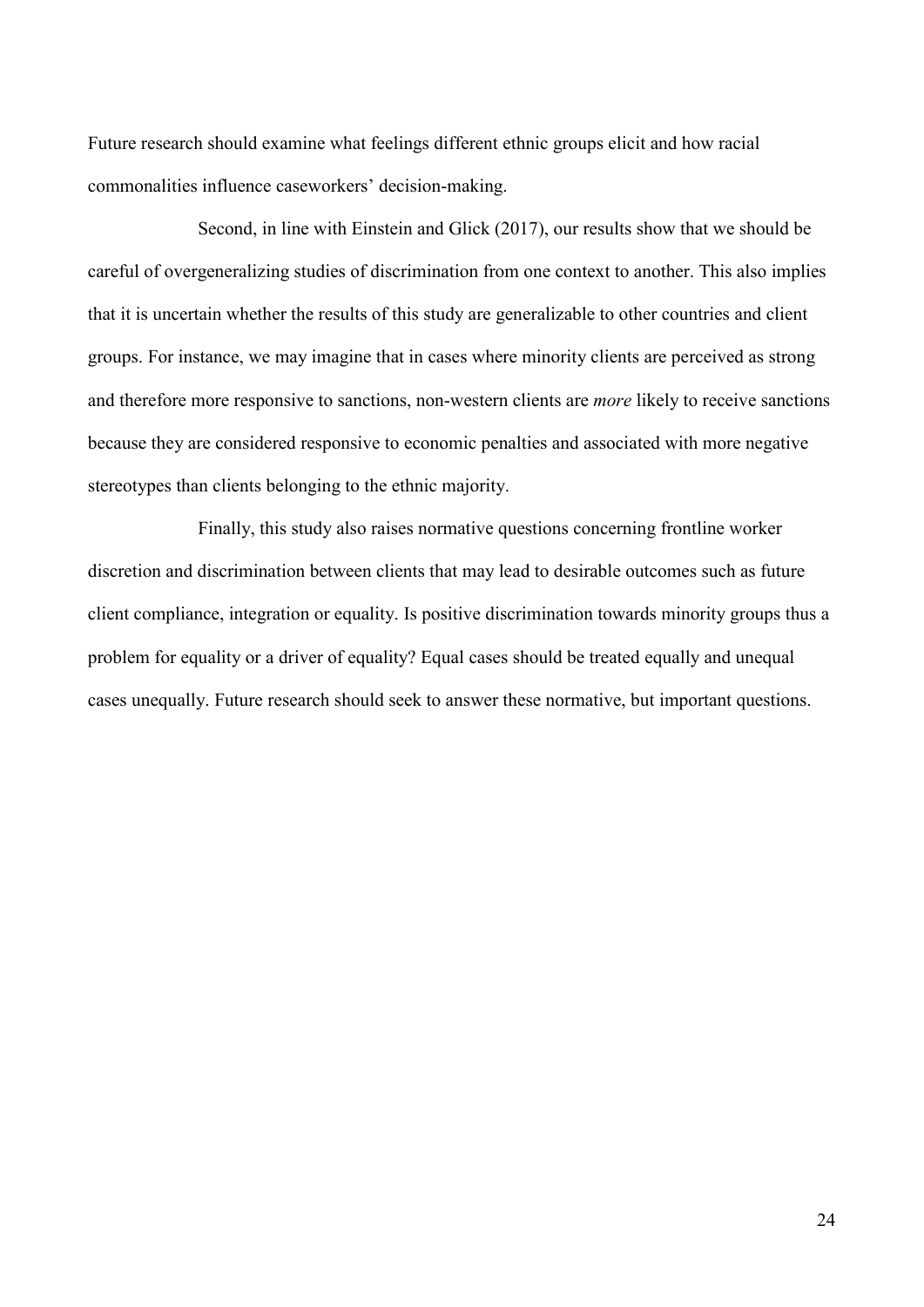Future research should examine what feelings different ethnic groups elicit and how racial commonalities influence caseworkers' decision-making.

Second, in line with Einstein and Glick (2017), our results show that we should be careful of overgeneralizing studies of discrimination from one context to another. This also implies that it is uncertain whether the results of this study are generalizable to other countries and client groups. For instance, we may imagine that in cases where minority clients are perceived as strong and therefore more responsive to sanctions, non-western clients are *more* likely to receive sanctions because they are considered responsive to economic penalties and associated with more negative stereotypes than clients belonging to the ethnic majority.

Finally, this study also raises normative questions concerning frontline worker discretion and discrimination between clients that may lead to desirable outcomes such as future client compliance, integration or equality. Is positive discrimination towards minority groups thus a problem for equality or a driver of equality? Equal cases should be treated equally and unequal cases unequally. Future research should seek to answer these normative, but important questions.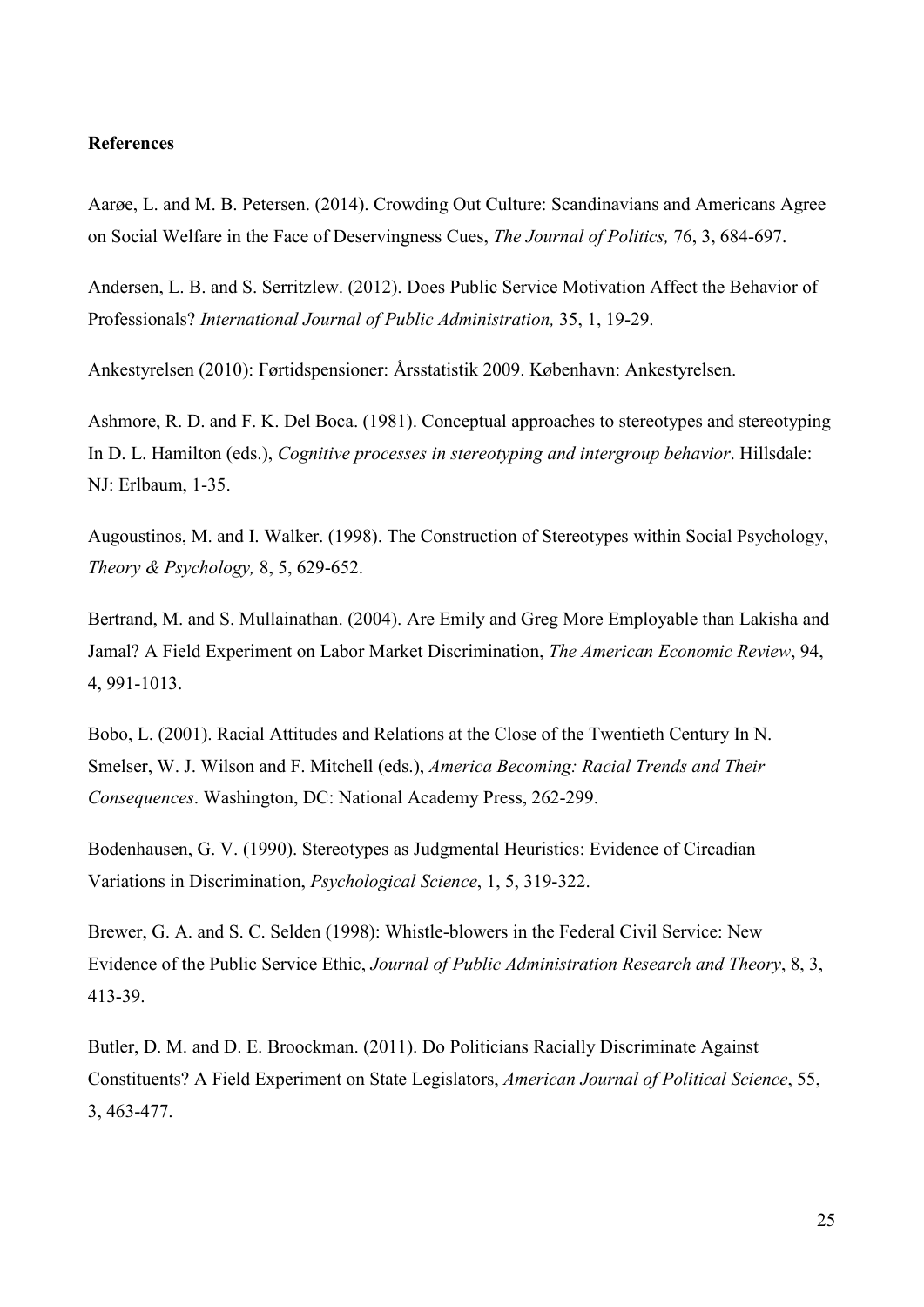#### **References**

Aarøe, L. and M. B. Petersen. (2014). Crowding Out Culture: Scandinavians and Americans Agree on Social Welfare in the Face of Deservingness Cues, *The Journal of Politics,* 76, 3, 684-697.

Andersen, L. B. and S. Serritzlew. (2012). Does Public Service Motivation Affect the Behavior of Professionals? *International Journal of Public Administration,* 35, 1, 19-29.

Ankestyrelsen (2010): Førtidspensioner: Årsstatistik 2009. København: Ankestyrelsen.

Ashmore, R. D. and F. K. Del Boca. (1981). Conceptual approaches to stereotypes and stereotyping In D. L. Hamilton (eds.), *Cognitive processes in stereotyping and intergroup behavior*. Hillsdale: NJ: Erlbaum, 1-35.

Augoustinos, M. and I. Walker. (1998). The Construction of Stereotypes within Social Psychology, *Theory & Psychology,* 8, 5, 629-652.

Bertrand, M. and S. Mullainathan. (2004). Are Emily and Greg More Employable than Lakisha and Jamal? A Field Experiment on Labor Market Discrimination, *The American Economic Review*, 94, 4, 991-1013.

Bobo, L. (2001). Racial Attitudes and Relations at the Close of the Twentieth Century In N. Smelser, W. J. Wilson and F. Mitchell (eds.), *America Becoming: Racial Trends and Their Consequences*. Washington, DC: National Academy Press, 262-299.

Bodenhausen, G. V. (1990). Stereotypes as Judgmental Heuristics: Evidence of Circadian Variations in Discrimination, *Psychological Science*, 1, 5, 319-322.

Brewer, G. A. and S. C. Selden (1998): Whistle-blowers in the Federal Civil Service: New Evidence of the Public Service Ethic, *Journal of Public Administration Research and Theory*, 8, 3, 413-39.

Butler, D. M. and D. E. Broockman. (2011). Do Politicians Racially Discriminate Against Constituents? A Field Experiment on State Legislators, *American Journal of Political Science*, 55, 3, 463-477.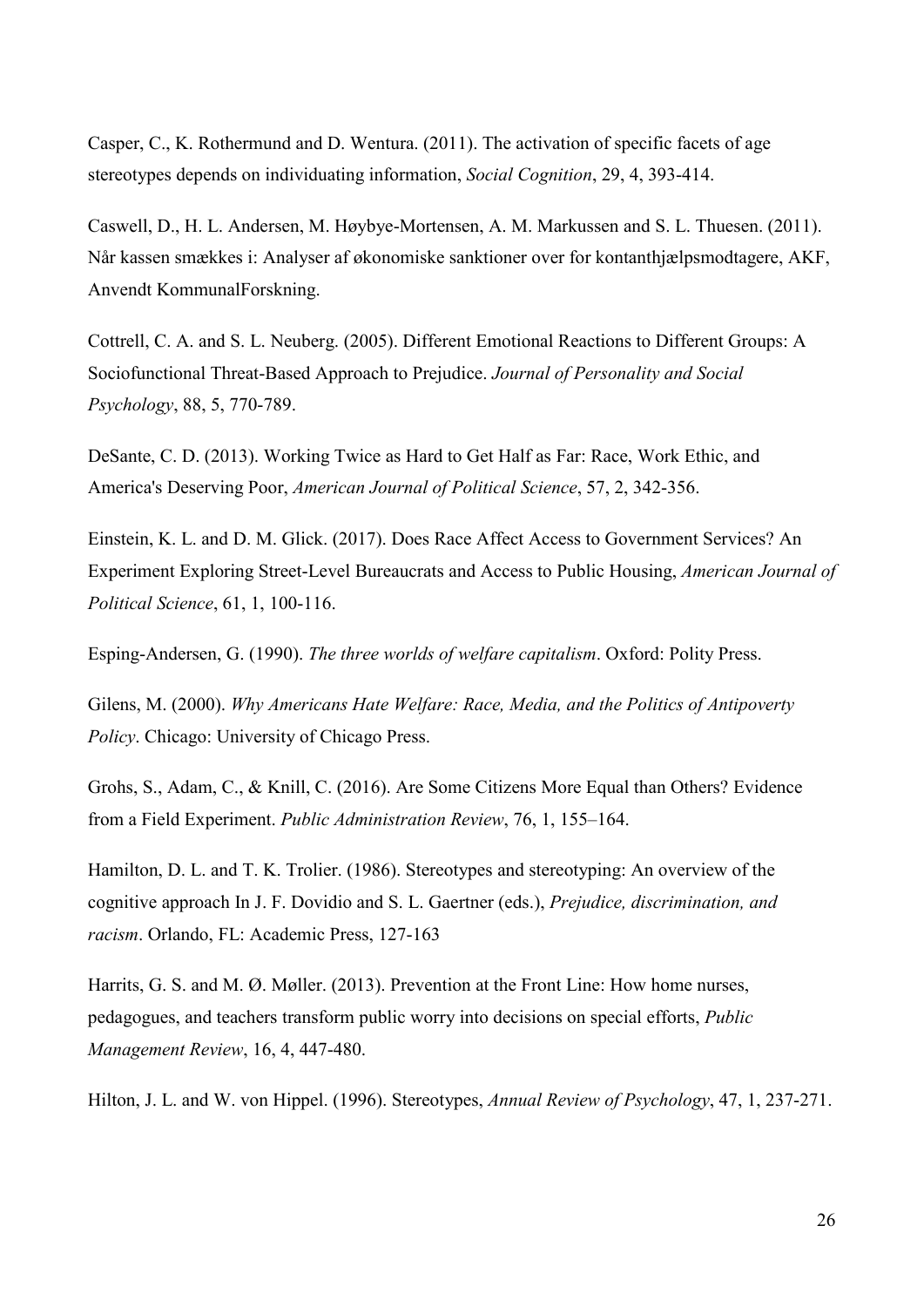Casper, C., K. Rothermund and D. Wentura. (2011). The activation of specific facets of age stereotypes depends on individuating information, *Social Cognition*, 29, 4, 393-414.

Caswell, D., H. L. Andersen, M. Høybye-Mortensen, A. M. Markussen and S. L. Thuesen. (2011). Når kassen smækkes i: Analyser af økonomiske sanktioner over for kontanthjælpsmodtagere, AKF, Anvendt KommunalForskning.

Cottrell, C. A. and S. L. Neuberg. (2005). Different Emotional Reactions to Different Groups: A Sociofunctional Threat-Based Approach to Prejudice. *Journal of Personality and Social Psychology*, 88, 5, 770-789.

DeSante, C. D. (2013). Working Twice as Hard to Get Half as Far: Race, Work Ethic, and America's Deserving Poor, *American Journal of Political Science*, 57, 2, 342-356.

Einstein, K. L. and D. M. Glick. (2017). Does Race Affect Access to Government Services? An Experiment Exploring Street-Level Bureaucrats and Access to Public Housing, *American Journal of Political Science*, 61, 1, 100-116.

Esping-Andersen, G. (1990). *The three worlds of welfare capitalism*. Oxford: Polity Press.

Gilens, M. (2000). *Why Americans Hate Welfare: Race, Media, and the Politics of Antipoverty Policy*. Chicago: University of Chicago Press.

Grohs, S., Adam, C., & Knill, C. (2016). Are Some Citizens More Equal than Others? Evidence from a Field Experiment. *Public Administration Review*, 76, 1, 155–164.

Hamilton, D. L. and T. K. Trolier. (1986). Stereotypes and stereotyping: An overview of the cognitive approach In J. F. Dovidio and S. L. Gaertner (eds.), *Prejudice, discrimination, and racism*. Orlando, FL: Academic Press, 127-163

Harrits, G. S. and M. Ø. Møller. (2013). Prevention at the Front Line: How home nurses, pedagogues, and teachers transform public worry into decisions on special efforts, *Public Management Review*, 16, 4, 447-480.

Hilton, J. L. and W. von Hippel. (1996). Stereotypes, *Annual Review of Psychology*, 47, 1, 237-271.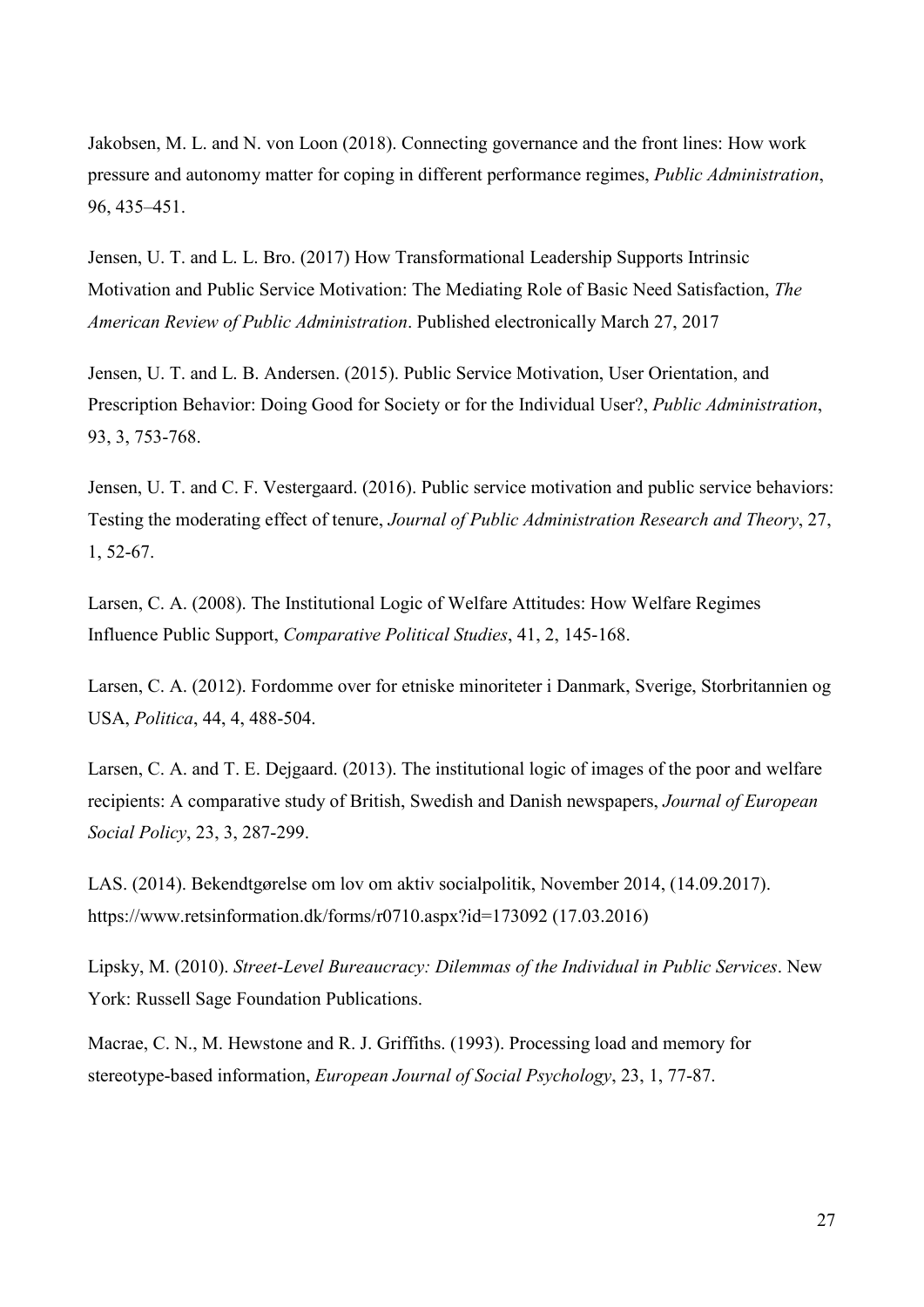Jakobsen, M. L. and N. von Loon (2018). Connecting governance and the front lines: How work pressure and autonomy matter for coping in different performance regimes, *Public Administration*, 96, 435–451.

Jensen, U. T. and L. L. Bro. (2017) How Transformational Leadership Supports Intrinsic Motivation and Public Service Motivation: The Mediating Role of Basic Need Satisfaction, *The American Review of Public Administration*. Published electronically March 27, 2017

Jensen, U. T. and L. B. Andersen. (2015). Public Service Motivation, User Orientation, and Prescription Behavior: Doing Good for Society or for the Individual User?, *Public Administration*, 93, 3, 753-768.

Jensen, U. T. and C. F. Vestergaard. (2016). Public service motivation and public service behaviors: Testing the moderating effect of tenure, *Journal of Public Administration Research and Theory*, 27, 1, 52-67.

Larsen, C. A. (2008). The Institutional Logic of Welfare Attitudes: How Welfare Regimes Influence Public Support, *Comparative Political Studies*, 41, 2, 145-168.

Larsen, C. A. (2012). Fordomme over for etniske minoriteter i Danmark, Sverige, Storbritannien og USA, *Politica*, 44, 4, 488-504.

Larsen, C. A. and T. E. Dejgaard. (2013). The institutional logic of images of the poor and welfare recipients: A comparative study of British, Swedish and Danish newspapers, *Journal of European Social Policy*, 23, 3, 287-299.

LAS. (2014). Bekendtgørelse om lov om aktiv socialpolitik, November 2014, (14.09.2017). https://www.retsinformation.dk/forms/r0710.aspx?id=173092 (17.03.2016)

Lipsky, M. (2010). *Street-Level Bureaucracy: Dilemmas of the Individual in Public Services*. New York: Russell Sage Foundation Publications.

Macrae, C. N., M. Hewstone and R. J. Griffiths. (1993). Processing load and memory for stereotype-based information, *European Journal of Social Psychology*, 23, 1, 77-87.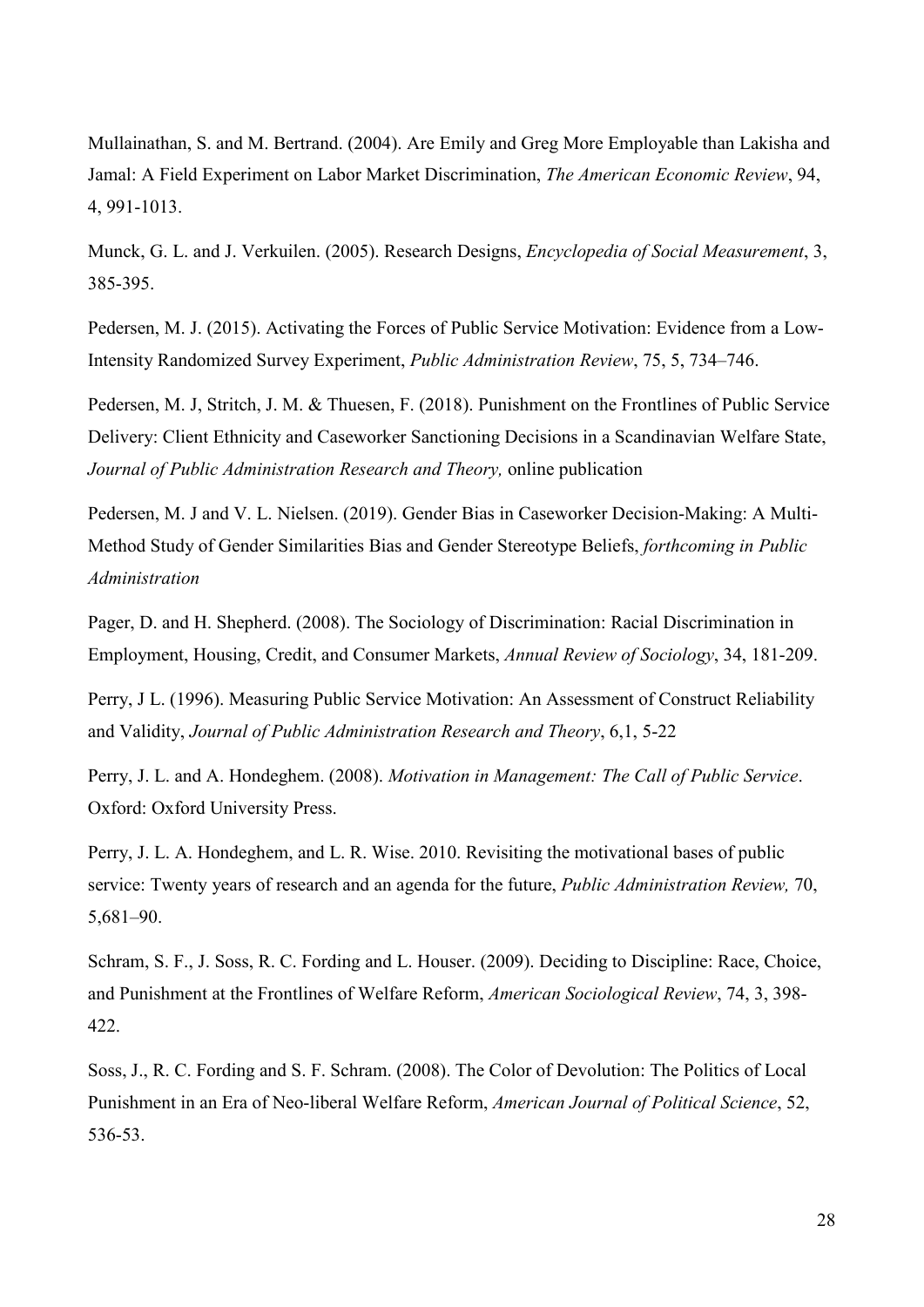Mullainathan, S. and M. Bertrand. (2004). Are Emily and Greg More Employable than Lakisha and Jamal: A Field Experiment on Labor Market Discrimination, *The American Economic Review*, 94, 4, 991-1013.

Munck, G. L. and J. Verkuilen. (2005). Research Designs, *Encyclopedia of Social Measurement*, 3, 385-395.

Pedersen, M. J. (2015). Activating the Forces of Public Service Motivation: Evidence from a Low-Intensity Randomized Survey Experiment, *Public Administration Review*, 75, 5, 734–746.

Pedersen, M. J, Stritch, J. M. & Thuesen, F. (2018). Punishment on the Frontlines of Public Service Delivery: Client Ethnicity and Caseworker Sanctioning Decisions in a Scandinavian Welfare State, *Journal of Public Administration Research and Theory,* online publication

Pedersen, M. J and V. L. Nielsen. (2019). Gender Bias in Caseworker Decision-Making: A Multi-Method Study of Gender Similarities Bias and Gender Stereotype Beliefs, *forthcoming in Public Administration*

Pager, D. and H. Shepherd. (2008). The Sociology of Discrimination: Racial Discrimination in Employment, Housing, Credit, and Consumer Markets, *Annual Review of Sociology*, 34, 181-209.

Perry, J L. (1996). Measuring Public Service Motivation: An Assessment of Construct Reliability and Validity, *Journal of Public Administration Research and Theory*, 6,1, 5-22

Perry, J. L. and A. Hondeghem. (2008). *Motivation in Management: The Call of Public Service*. Oxford: Oxford University Press.

Perry, J. L. A. Hondeghem, and L. R. Wise. 2010. Revisiting the motivational bases of public service: Twenty years of research and an agenda for the future, *Public Administration Review,* 70, 5,681‒90.

Schram, S. F., J. Soss, R. C. Fording and L. Houser. (2009). Deciding to Discipline: Race, Choice, and Punishment at the Frontlines of Welfare Reform, *American Sociological Review*, 74, 3, 398- 422.

Soss, J., R. C. Fording and S. F. Schram. (2008). The Color of Devolution: The Politics of Local Punishment in an Era of Neo-liberal Welfare Reform, *American Journal of Political Science*, 52, 536-53.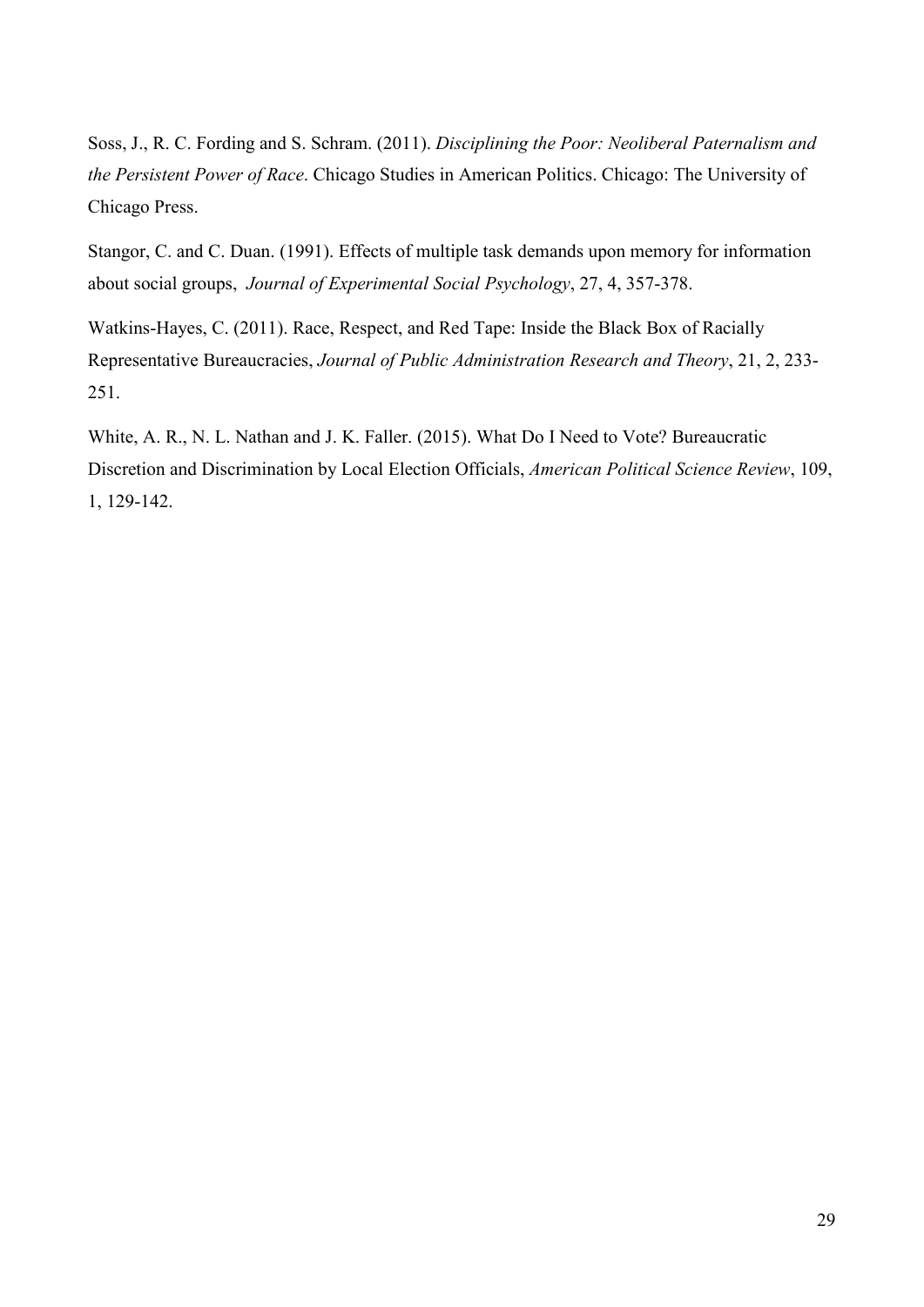Soss, J., R. C. Fording and S. Schram. (2011). *Disciplining the Poor: Neoliberal Paternalism and the Persistent Power of Race*. Chicago Studies in American Politics. Chicago: The University of Chicago Press.

Stangor, C. and C. Duan. (1991). Effects of multiple task demands upon memory for information about social groups, *Journal of Experimental Social Psychology*, 27, 4, 357-378.

Watkins-Hayes, C. (2011). Race, Respect, and Red Tape: Inside the Black Box of Racially Representative Bureaucracies, *Journal of Public Administration Research and Theory*, 21, 2, 233- 251.

White, A. R., N. L. Nathan and J. K. Faller. (2015). What Do I Need to Vote? Bureaucratic Discretion and Discrimination by Local Election Officials, *American Political Science Review*, 109, 1, 129-142.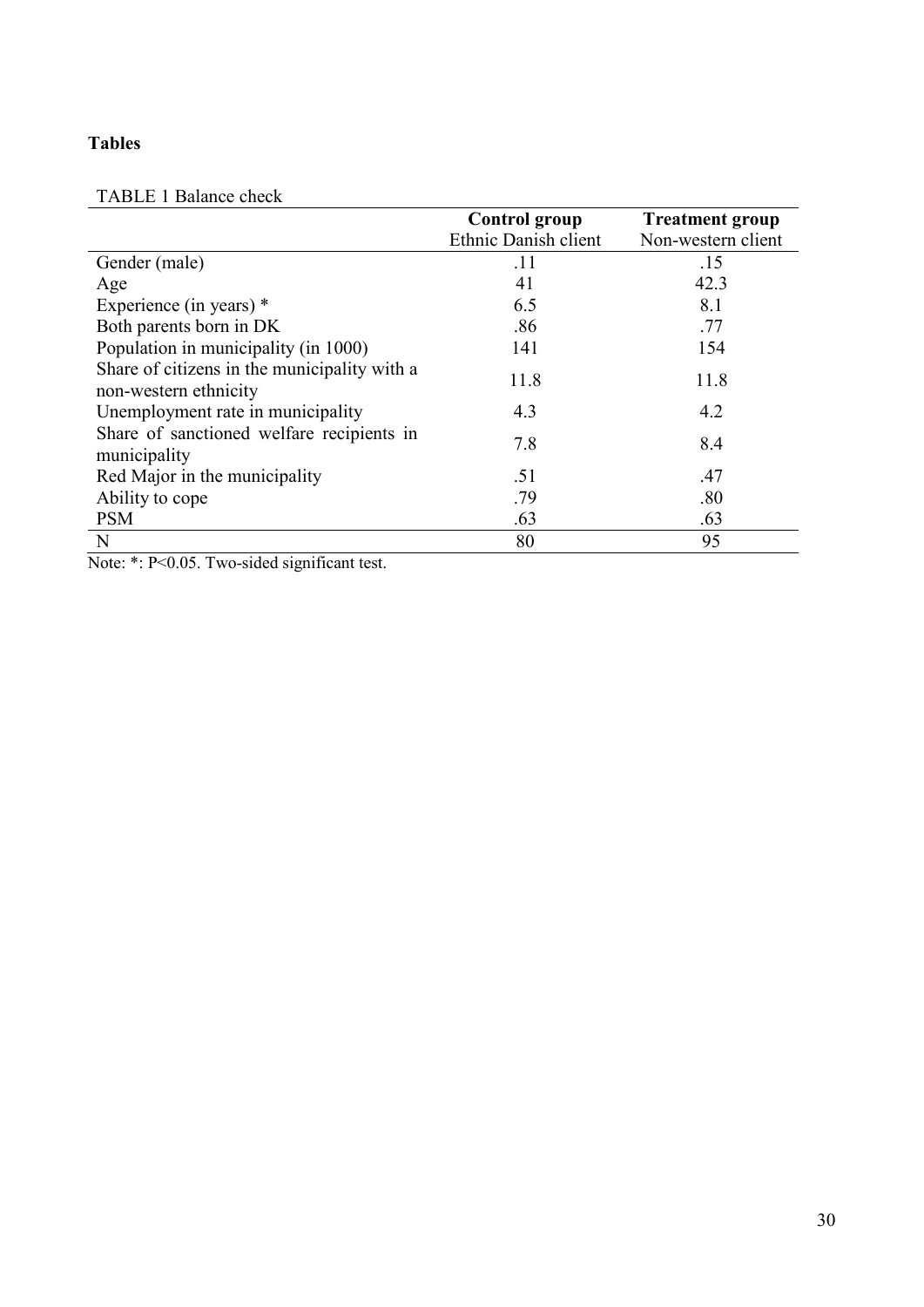## **Tables**

## TABLE 1 Balance check

|                                                                       | <b>Control group</b> | <b>Treatment group</b> |
|-----------------------------------------------------------------------|----------------------|------------------------|
|                                                                       | Ethnic Danish client | Non-western client     |
| Gender (male)                                                         | .11                  | .15                    |
| Age                                                                   | 41                   | 42.3                   |
| Experience (in years) $*$                                             | 6.5                  | 8.1                    |
| Both parents born in DK                                               | .86                  | .77                    |
| Population in municipality (in 1000)                                  | 141                  | 154                    |
| Share of citizens in the municipality with a<br>non-western ethnicity | 11.8                 | 11.8                   |
| Unemployment rate in municipality                                     | 4.3                  | 4.2                    |
| Share of sanctioned welfare recipients in<br>municipality             | 7.8                  | 8.4                    |
| Red Major in the municipality                                         | .51                  | .47                    |
| Ability to cope                                                       | .79                  | .80                    |
| <b>PSM</b>                                                            | .63                  | .63                    |
| N                                                                     | 80                   | 95                     |

Note: \*: P<0.05. Two-sided significant test.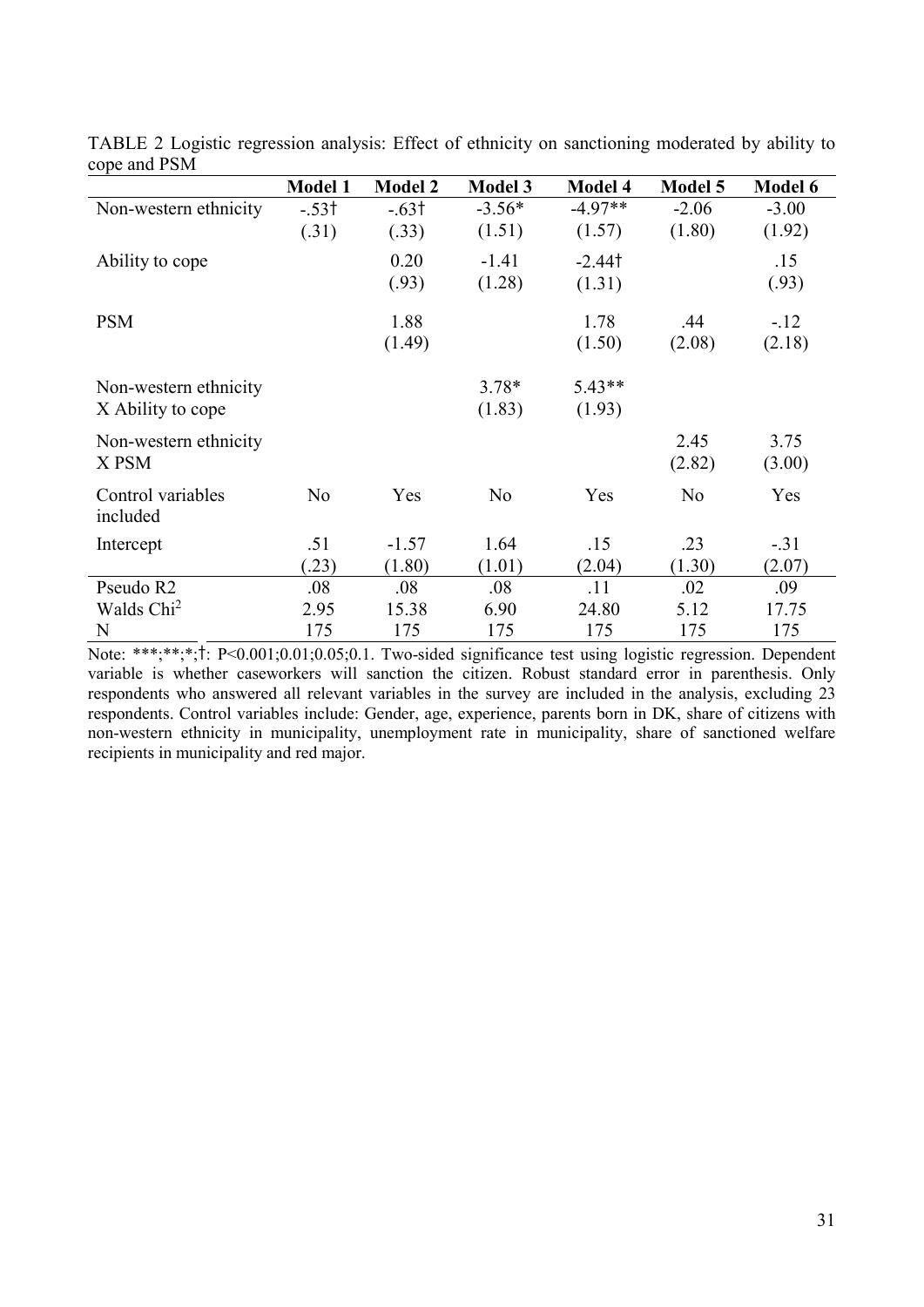| $\mathbf{v}$ $\mathbf{v}$ $\mathbf{v}$ $\mathbf{v}$ $\mathbf{v}$ $\mathbf{v}$ $\mathbf{v}$ $\mathbf{v}$ $\mathbf{v}$ $\mathbf{v}$ $\mathbf{v}$ $\mathbf{v}$ $\mathbf{v}$ $\mathbf{v}$ $\mathbf{v}$ $\mathbf{v}$ $\mathbf{v}$ $\mathbf{v}$ $\mathbf{v}$ $\mathbf{v}$ $\mathbf{v}$ $\mathbf{v}$ $\mathbf{v}$ $\mathbf{v}$ $\mathbf{$ |                |                |                |                |                |                |
|------------------------------------------------------------------------------------------------------------------------------------------------------------------------------------------------------------------------------------------------------------------------------------------------------------------------------------|----------------|----------------|----------------|----------------|----------------|----------------|
|                                                                                                                                                                                                                                                                                                                                    | <b>Model 1</b> | <b>Model 2</b> | <b>Model 3</b> | <b>Model 4</b> | <b>Model 5</b> | <b>Model 6</b> |
| Non-western ethnicity                                                                                                                                                                                                                                                                                                              | $-.53†$        | $-.63†$        | $-3.56*$       | $-4.97**$      | $-2.06$        | $-3.00$        |
|                                                                                                                                                                                                                                                                                                                                    | (.31)          | (.33)          | (1.51)         | (1.57)         | (1.80)         | (1.92)         |
| Ability to cope                                                                                                                                                                                                                                                                                                                    |                | 0.20           | $-1.41$        | $-2.44$ t      |                | .15            |
|                                                                                                                                                                                                                                                                                                                                    |                | (.93)          | (1.28)         | (1.31)         |                | (.93)          |
| <b>PSM</b>                                                                                                                                                                                                                                                                                                                         |                | 1.88           |                | 1.78           | .44            | $-.12$         |
|                                                                                                                                                                                                                                                                                                                                    |                | (1.49)         |                | (1.50)         | (2.08)         | (2.18)         |
| Non-western ethnicity                                                                                                                                                                                                                                                                                                              |                |                | $3.78*$        | $5.43**$       |                |                |
|                                                                                                                                                                                                                                                                                                                                    |                |                |                |                |                |                |
| X Ability to cope                                                                                                                                                                                                                                                                                                                  |                |                | (1.83)         | (1.93)         |                |                |
| Non-western ethnicity                                                                                                                                                                                                                                                                                                              |                |                |                |                | 2.45           | 3.75           |
| X PSM                                                                                                                                                                                                                                                                                                                              |                |                |                |                | (2.82)         | (3.00)         |
| Control variables                                                                                                                                                                                                                                                                                                                  | No             | Yes            | N <sub>o</sub> | Yes            | N <sub>o</sub> | Yes            |
| included                                                                                                                                                                                                                                                                                                                           |                |                |                |                |                |                |
| Intercept                                                                                                                                                                                                                                                                                                                          | .51            | $-1.57$        | 1.64           | .15            | .23            | $-.31$         |
|                                                                                                                                                                                                                                                                                                                                    | (23)           | (1.80)         | (1.01)         | (2.04)         | (1.30)         | (2.07)         |
| Pseudo R2                                                                                                                                                                                                                                                                                                                          | .08            | .08            | .08            | .11            | .02            | .09            |
| Walds Chi <sup>2</sup>                                                                                                                                                                                                                                                                                                             | 2.95           | 15.38          | 6.90           | 24.80          | 5.12           | 17.75          |
| N                                                                                                                                                                                                                                                                                                                                  | 175            | 175            | 175            | 175            | 175            | 175            |

TABLE 2 Logistic regression analysis: Effect of ethnicity on sanctioning moderated by ability to cope and PSM

Note: \*\*\*;\*\*;\*;†: P<0.001;0.01;0.05;0.1. Two-sided significance test using logistic regression. Dependent variable is whether caseworkers will sanction the citizen. Robust standard error in parenthesis. Only respondents who answered all relevant variables in the survey are included in the analysis, excluding 23 respondents. Control variables include: Gender, age, experience, parents born in DK, share of citizens with non-western ethnicity in municipality, unemployment rate in municipality, share of sanctioned welfare recipients in municipality and red major.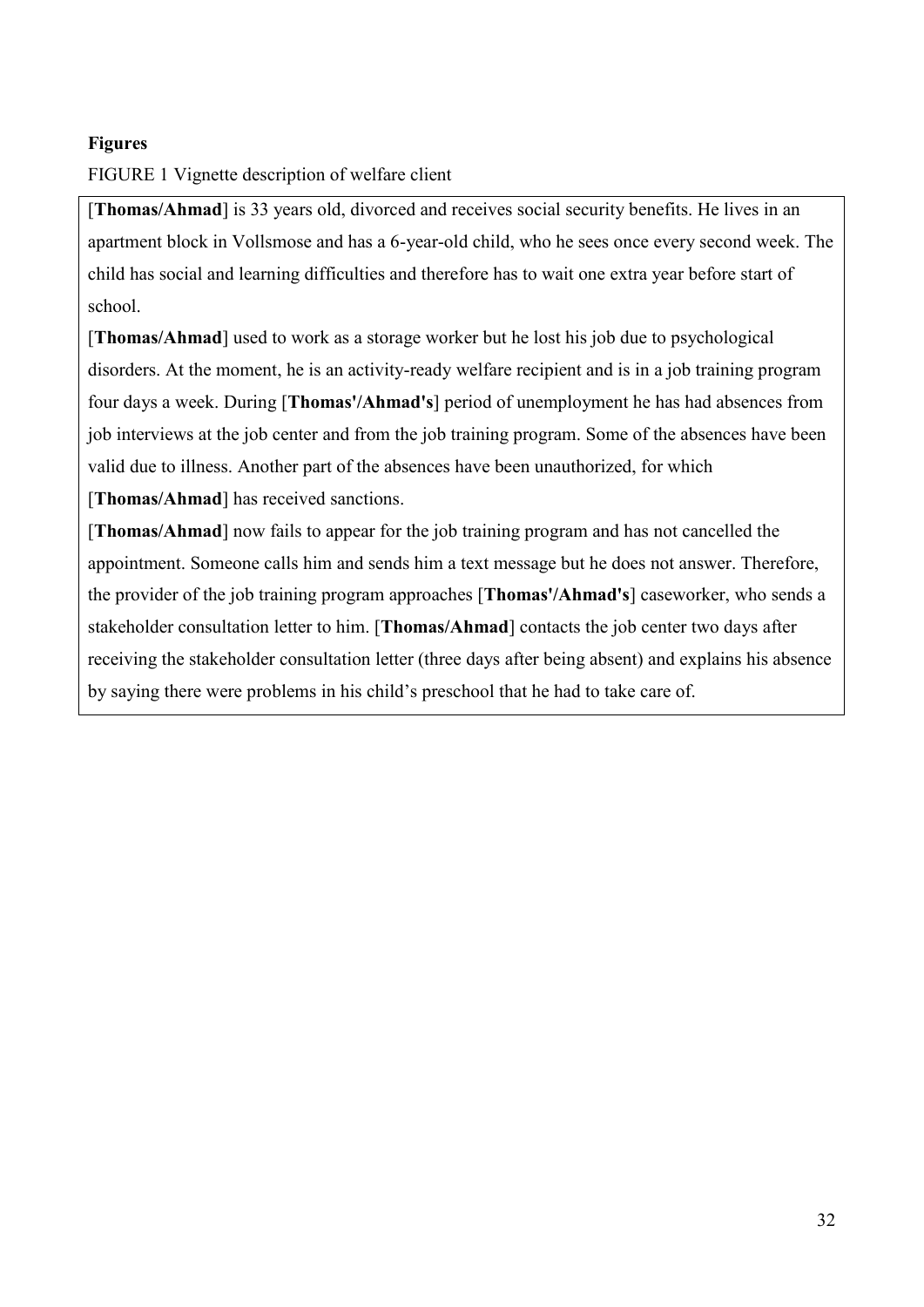## **Figures**

## FIGURE 1 Vignette description of welfare client

[**Thomas/Ahmad**] is 33 years old, divorced and receives social security benefits. He lives in an apartment block in Vollsmose and has a 6-year-old child, who he sees once every second week. The child has social and learning difficulties and therefore has to wait one extra year before start of school.

[**Thomas/Ahmad**] used to work as a storage worker but he lost his job due to psychological disorders. At the moment, he is an activity-ready welfare recipient and is in a job training program four days a week. During [**Thomas'/Ahmad's**] period of unemployment he has had absences from job interviews at the job center and from the job training program. Some of the absences have been valid due to illness. Another part of the absences have been unauthorized, for which

[**Thomas/Ahmad**] has received sanctions.

[**Thomas/Ahmad**] now fails to appear for the job training program and has not cancelled the appointment. Someone calls him and sends him a text message but he does not answer. Therefore, the provider of the job training program approaches [**Thomas'/Ahmad's**] caseworker, who sends a stakeholder consultation letter to him. [**Thomas/Ahmad**] contacts the job center two days after receiving the stakeholder consultation letter (three days after being absent) and explains his absence by saying there were problems in his child's preschool that he had to take care of.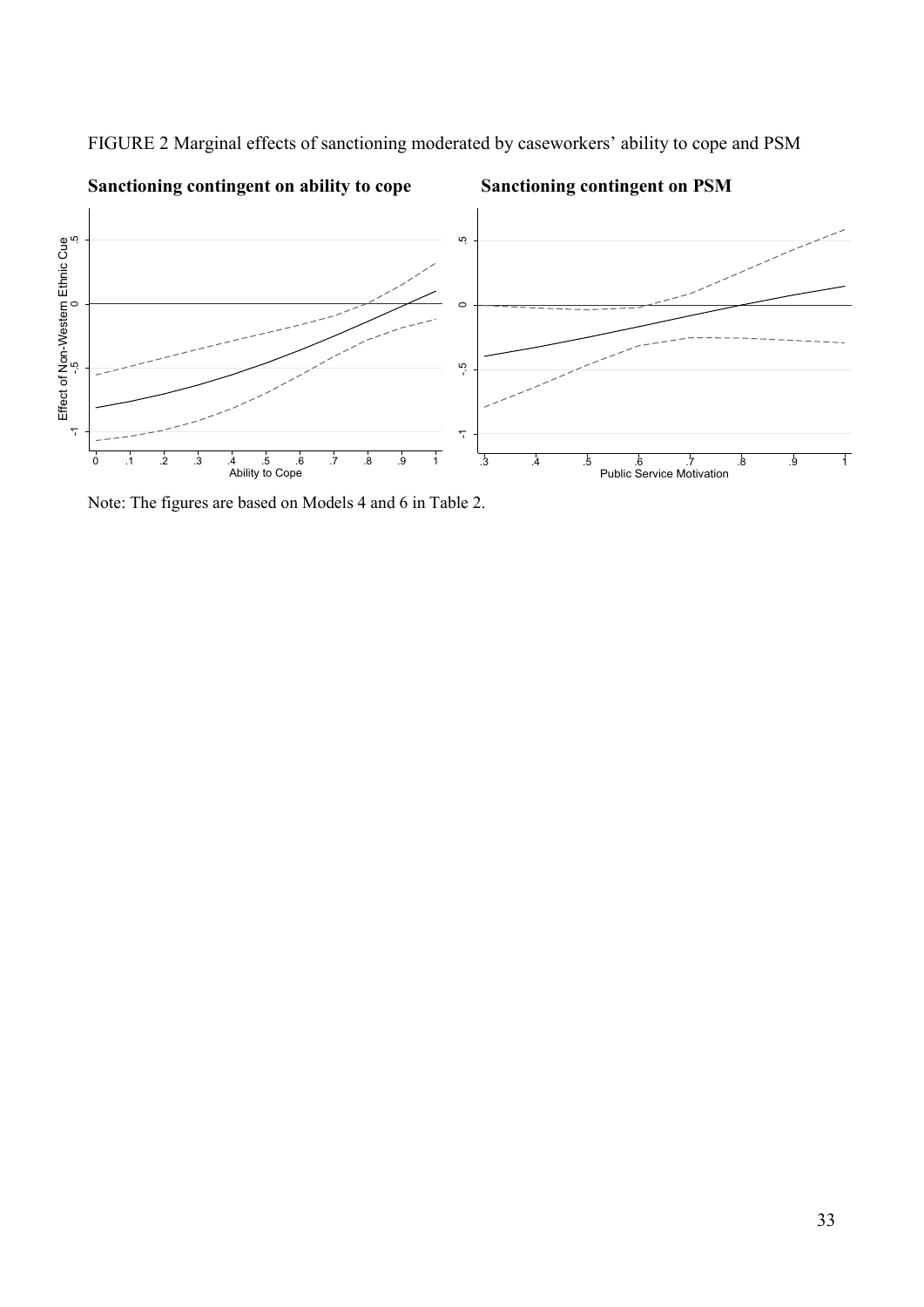

FIGURE 2 Marginal effects of sanctioning moderated by caseworkers' ability to cope and PSM

Note: The figures are based on Models 4 and 6 in Table 2.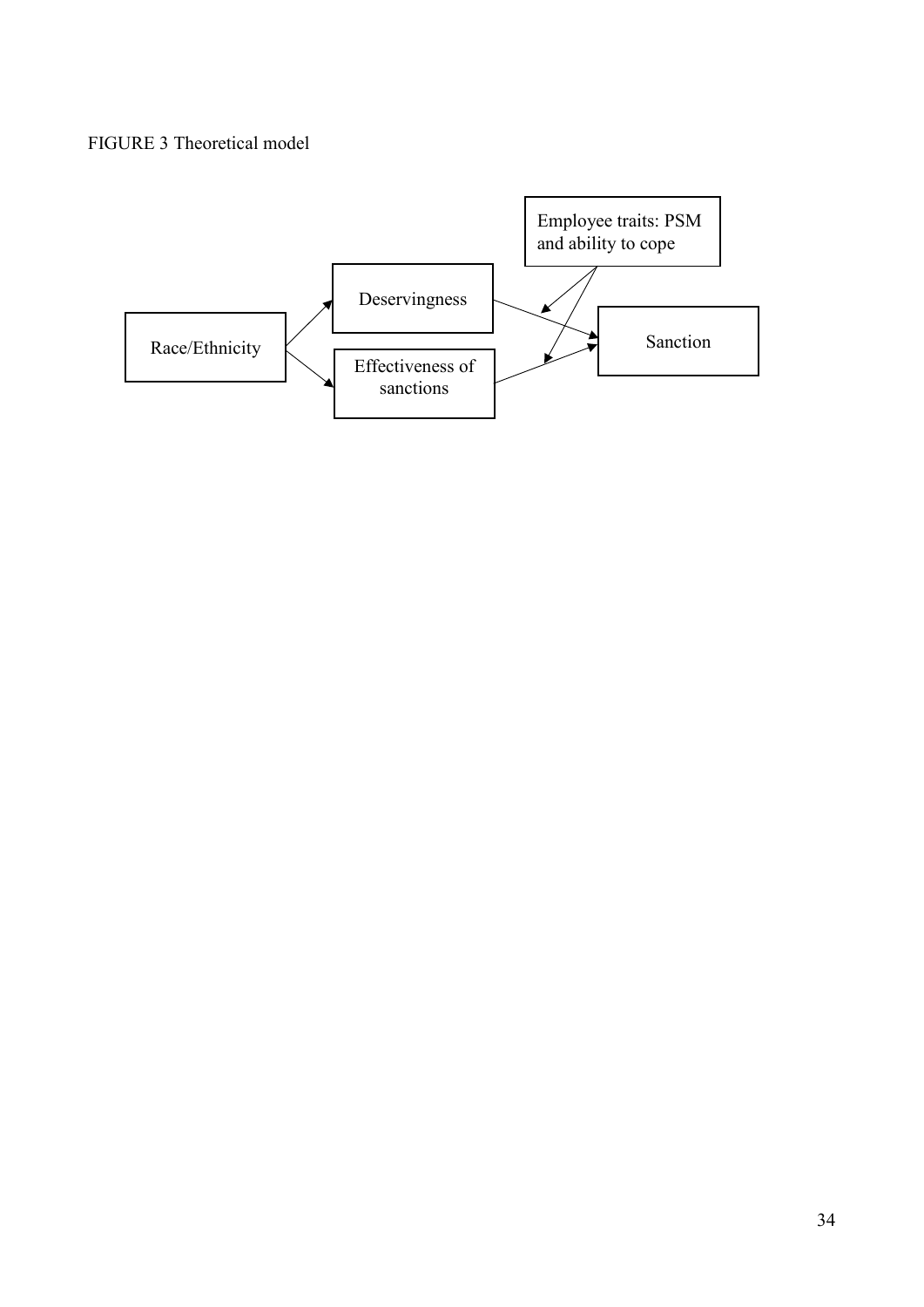## FIGURE 3 Theoretical model

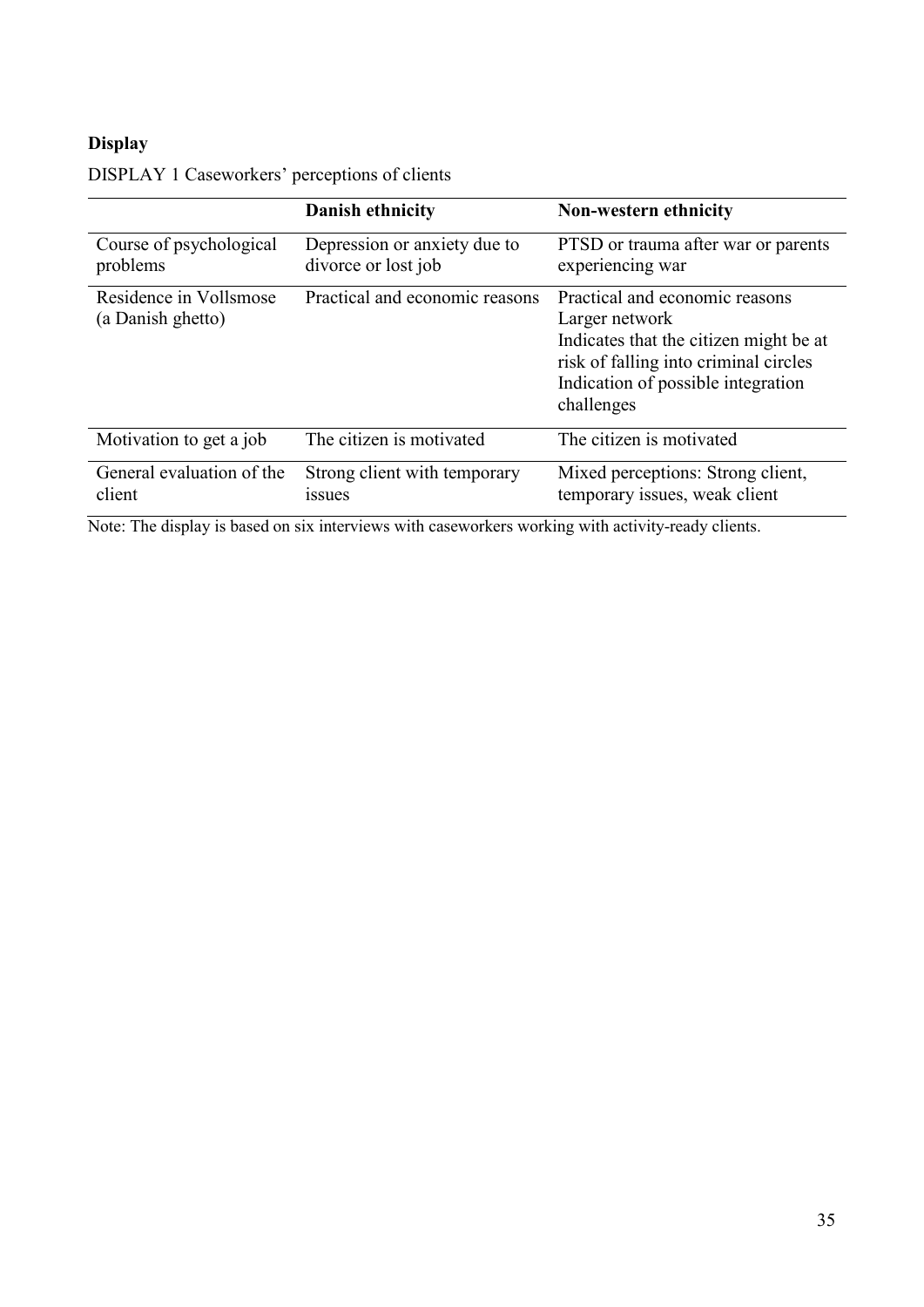## **Display**

|                                             | <b>Danish ethnicity</b>                             | Non-western ethnicity                                                                                                                                                                   |
|---------------------------------------------|-----------------------------------------------------|-----------------------------------------------------------------------------------------------------------------------------------------------------------------------------------------|
| Course of psychological<br>problems         | Depression or anxiety due to<br>divorce or lost job | PTSD or trauma after war or parents<br>experiencing war                                                                                                                                 |
| Residence in Vollsmose<br>(a Danish ghetto) | Practical and economic reasons                      | Practical and economic reasons<br>Larger network<br>Indicates that the citizen might be at<br>risk of falling into criminal circles<br>Indication of possible integration<br>challenges |
| Motivation to get a job                     | The citizen is motivated                            | The citizen is motivated                                                                                                                                                                |
| General evaluation of the<br>client         | Strong client with temporary<br><i>ssues</i>        | Mixed perceptions: Strong client,<br>temporary issues, weak client                                                                                                                      |

## DISPLAY 1 Caseworkers' perceptions of clients

Note: The display is based on six interviews with caseworkers working with activity-ready clients.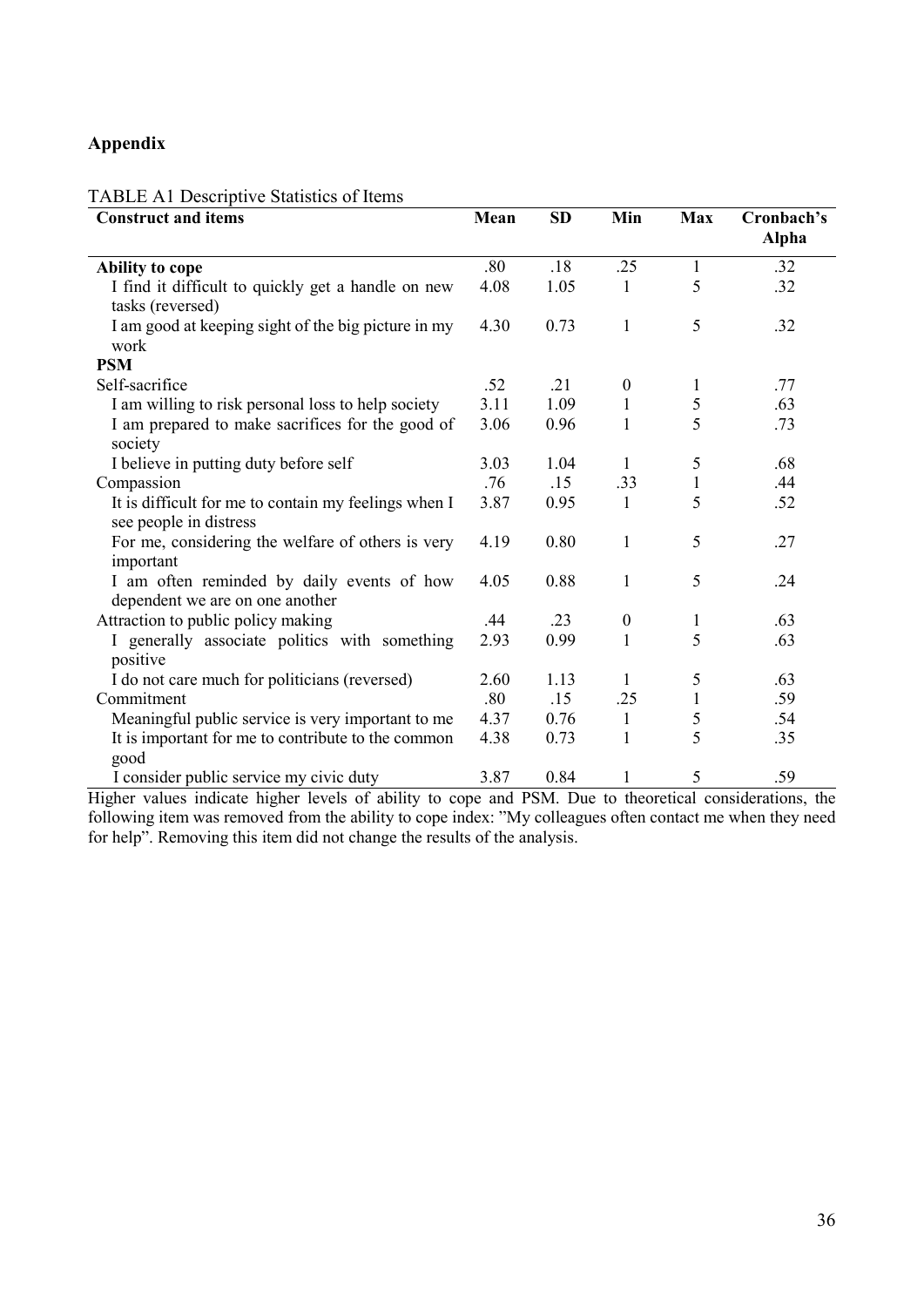## **Appendix**

#### TABLE A1 Descriptive Statistics of Items

| <b>Construct and items</b>                           |      | <b>SD</b> | Min              | <b>Max</b>   | Cronbach's   |
|------------------------------------------------------|------|-----------|------------------|--------------|--------------|
|                                                      |      |           |                  |              | <b>Alpha</b> |
| Ability to cope                                      | .80  | .18       | .25              | 1            | .32          |
| I find it difficult to quickly get a handle on new   | 4.08 | 1.05      | $\mathbf{1}$     | 5            | .32          |
| tasks (reversed)                                     |      |           |                  |              |              |
| I am good at keeping sight of the big picture in my  | 4.30 | 0.73      | $\mathbf{1}$     | 5            | .32          |
| work                                                 |      |           |                  |              |              |
| <b>PSM</b>                                           |      |           |                  |              |              |
| Self-sacrifice                                       | .52  | .21       | $\boldsymbol{0}$ |              | .77          |
| I am willing to risk personal loss to help society   | 3.11 | 1.09      | 1                | 5            | .63          |
| I am prepared to make sacrifices for the good of     | 3.06 | 0.96      | 1                | 5            | .73          |
| society                                              |      |           |                  |              |              |
| I believe in putting duty before self                | 3.03 | 1.04      | 1                | 5            | .68          |
| Compassion                                           | .76  | .15       | .33              | $\mathbf{1}$ | .44          |
| It is difficult for me to contain my feelings when I | 3.87 | 0.95      | 1                | 5            | .52          |
| see people in distress                               |      |           |                  |              |              |
| For me, considering the welfare of others is very    | 4.19 | 0.80      | $\mathbf{1}$     | 5            | .27          |
| important                                            |      |           |                  |              |              |
| I am often reminded by daily events of how           | 4.05 | 0.88      | $\mathbf{1}$     | 5            | .24          |
| dependent we are on one another                      |      |           |                  |              |              |
| Attraction to public policy making                   | .44  | .23       | $\boldsymbol{0}$ | 1            | .63          |
| I generally associate politics with something        | 2.93 | 0.99      | 1                | 5            | .63          |
| positive                                             |      |           |                  |              |              |
| I do not care much for politicians (reversed)        | 2.60 | 1.13      | 1                | 5            | .63          |
| Commitment                                           | .80  | .15       | .25              |              | .59          |
| Meaningful public service is very important to me    | 4.37 | 0.76      | $\mathbf{1}$     | 5            | .54          |
| It is important for me to contribute to the common   | 4.38 | 0.73      | $\mathbf{1}$     | 5            | .35          |
| good                                                 |      |           |                  |              |              |
| I consider public service my civic duty              | 3.87 | 0.84      | $\mathbf{1}$     | 5            | .59          |

Higher values indicate higher levels of ability to cope and PSM. Due to theoretical considerations, the following item was removed from the ability to cope index: "My colleagues often contact me when they need for help". Removing this item did not change the results of the analysis.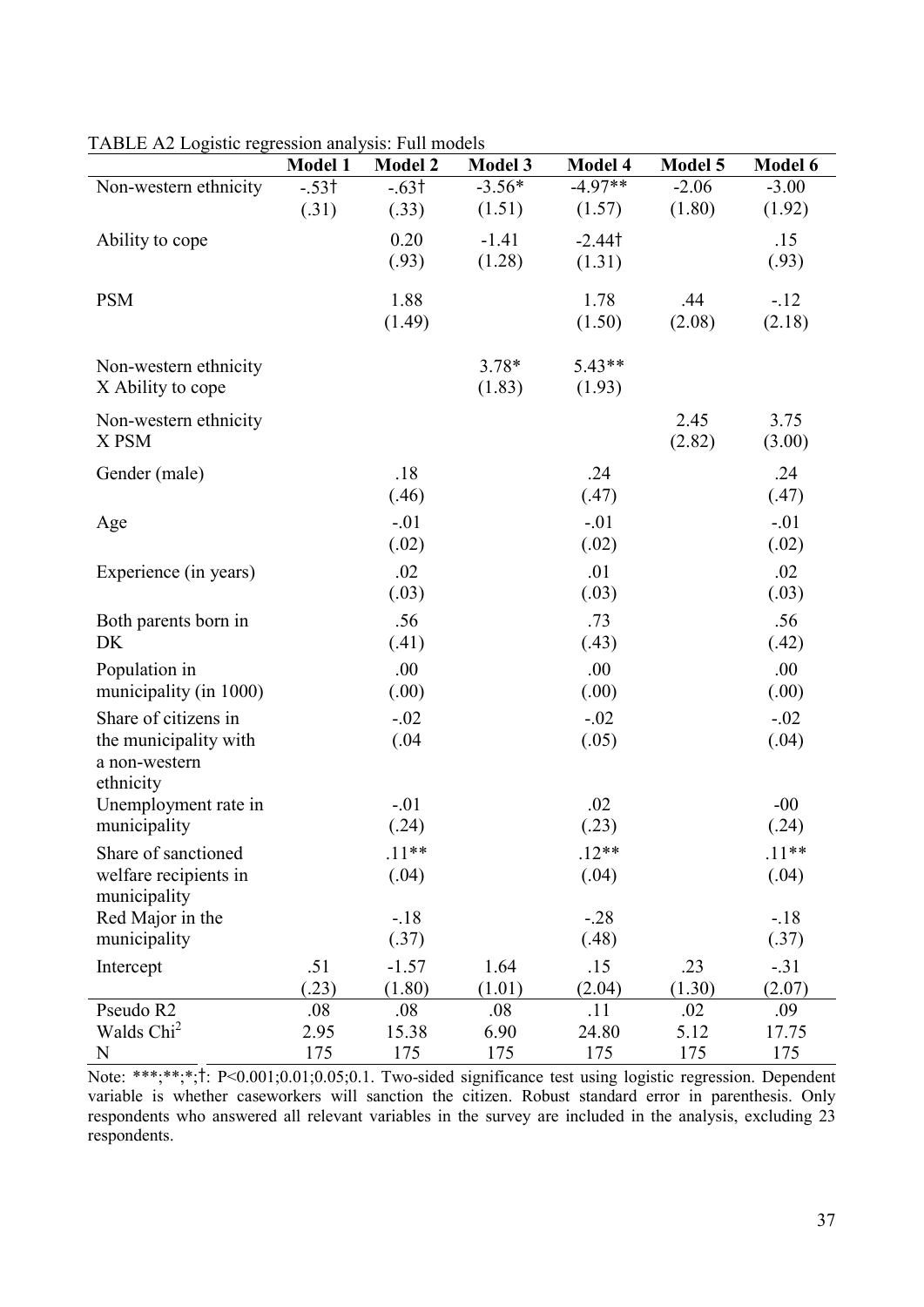|                        | <b>Model 1</b> | <b>Model 2</b> | <b>Model 3</b> | Model 4      | Model 5     | Model 6      |
|------------------------|----------------|----------------|----------------|--------------|-------------|--------------|
| Non-western ethnicity  | $-.53†$        | $-.63†$        | $-3.56*$       | $-4.97**$    | $-2.06$     | $-3.00$      |
|                        | (.31)          | (.33)          | (1.51)         | (1.57)       | (1.80)      | (1.92)       |
| Ability to cope        |                | 0.20           | $-1.41$        | $-2.44$ t    |             | .15          |
|                        |                | (.93)          | (1.28)         | (1.31)       |             | (.93)        |
|                        |                |                |                |              |             |              |
| <b>PSM</b>             |                | 1.88           |                | 1.78         | .44         | $-.12$       |
|                        |                | (1.49)         |                | (1.50)       | (2.08)      | (2.18)       |
| Non-western ethnicity  |                |                | $3.78*$        | $5.43**$     |             |              |
| X Ability to cope      |                |                | (1.83)         | (1.93)       |             |              |
|                        |                |                |                |              |             |              |
| Non-western ethnicity  |                |                |                |              | 2.45        | 3.75         |
| X PSM                  |                |                |                |              | (2.82)      | (3.00)       |
| Gender (male)          |                | .18            |                | .24          |             | .24          |
|                        |                | (.46)          |                | (.47)        |             | (.47)        |
| Age                    |                | $-.01$         |                | $-.01$       |             | $-.01$       |
|                        |                | (.02)          |                | (.02)        |             | (.02)        |
| Experience (in years)  |                | .02            |                | .01          |             | .02          |
|                        |                | (.03)          |                | (.03)        |             | (.03)        |
| Both parents born in   |                | .56            |                | .73          |             | .56          |
| DK                     |                | (.41)          |                | (.43)        |             | (.42)        |
| Population in          |                | .00            |                | .00          |             | .00          |
| municipality (in 1000) |                | (.00)          |                | (.00)        |             | (.00)        |
| Share of citizens in   |                | $-.02$         |                | $-.02$       |             | $-.02$       |
| the municipality with  |                | (.04)          |                | (.05)        |             | (.04)        |
| a non-western          |                |                |                |              |             |              |
| ethnicity              |                |                |                |              |             |              |
| Unemployment rate in   |                | $-.01$         |                | .02          |             | $-00$        |
| municipality           |                | (.24)          |                | (.23)        |             | (.24)        |
| Share of sanctioned    |                | $.11**$        |                | $.12**$      |             | $.11**$      |
| welfare recipients in  |                | (.04)          |                | (.04)        |             | (.04)        |
| municipality           |                |                |                |              |             |              |
| Red Major in the       |                | $-.18$         |                | $-.28$       |             | $-.18$       |
| municipality           |                | (.37)          |                | (.48)        |             | (.37)        |
| Intercept              | .51            | $-1.57$        | 1.64           | .15          | .23         | $-.31$       |
| Pseudo R2              | (23)           | (1.80)         | (1.01)         | (2.04)       | (1.30)      | (2.07)       |
| Walds Chi <sup>2</sup> | .08<br>2.95    | .08<br>15.38   | .08<br>6.90    | .11<br>24.80 | .02<br>5.12 | .09<br>17.75 |
| N                      | 175            | 175            | 175            | 175          | 175         | 175          |

TABLE A2 Logistic regression analysis: Full models

Note: \*\*\*;\*\*;\*;†: P<0.001;0.01;0.05;0.1. Two-sided significance test using logistic regression. Dependent variable is whether caseworkers will sanction the citizen. Robust standard error in parenthesis. Only respondents who answered all relevant variables in the survey are included in the analysis, excluding 23 respondents.